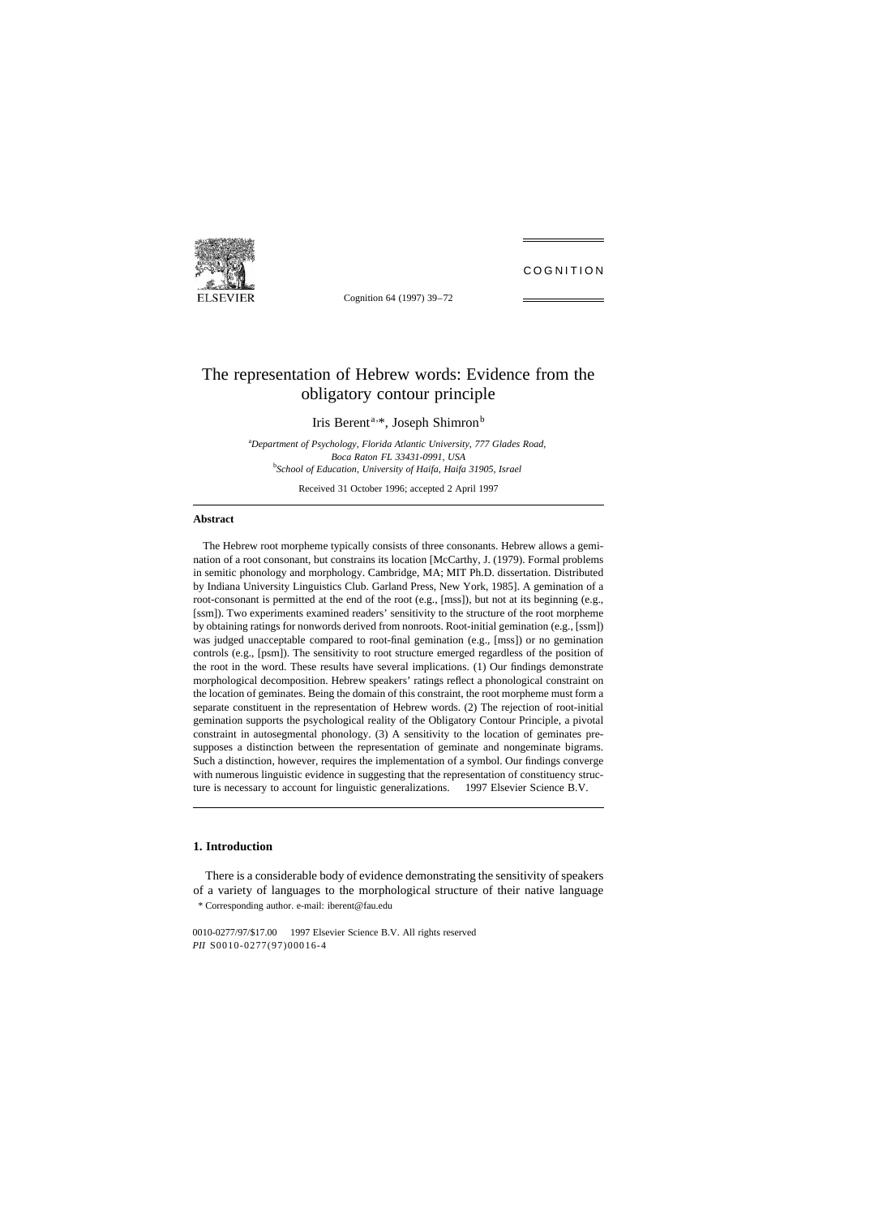

Cognition 64 (1997) 39–72

# The representation of Hebrew words: Evidence from the obligatory contour principle

Iris Berent<sup>a,\*</sup>, Joseph Shimron<sup>b</sup>

a *Department of Psychology, Florida Atlantic University, 777 Glades Road, Boca Raton FL 33431-0991, USA* b *School of Education, University of Haifa, Haifa 31905, Israel*

Received 31 October 1996; accepted 2 April 1997

### **Abstract**

The Hebrew root morpheme typically consists of three consonants. Hebrew allows a gemination of a root consonant, but constrains its location [McCarthy, J. (1979). Formal problems in semitic phonology and morphology. Cambridge, MA; MIT Ph.D. dissertation. Distributed by Indiana University Linguistics Club. Garland Press, New York, 1985]. A gemination of a root-consonant is permitted at the end of the root (e.g., [mss]), but not at its beginning (e.g., [ssm]). Two experiments examined readers' sensitivity to the structure of the root morpheme by obtaining ratings for nonwords derived from nonroots. Root-initial gemination (e.g., [ssm]) was judged unacceptable compared to root-final gemination (e.g., [mss]) or no gemination controls (e.g., [psm]). The sensitivity to root structure emerged regardless of the position of the root in the word. These results have several implications. (1) Our findings demonstrate morphological decomposition. Hebrew speakers' ratings reflect a phonological constraint on the location of geminates. Being the domain of this constraint, the root morpheme must form a separate constituent in the representation of Hebrew words. (2) The rejection of root-initial gemination supports the psychological reality of the Obligatory Contour Principle, a pivotal constraint in autosegmental phonology. (3) A sensitivity to the location of geminates presupposes a distinction between the representation of geminate and nongeminate bigrams. Such a distinction, however, requires the implementation of a symbol. Our findings converge with numerous linguistic evidence in suggesting that the representation of constituency structure is necessary to account for linguistic generalizations.  $© 1997$  Elsevier Science B.V.

### **1. Introduction**

There is a considerable body of evidence demonstrating the sensitivity of speakers of a variety of languages to the morphological structure of their native language \* Corresponding author. e-mail: iberent@fau.edu

0010-0277/97/\$17.00 © 1997 Elsevier Science B.V. All rights reserved *PII* S0010-0277(97)00016-4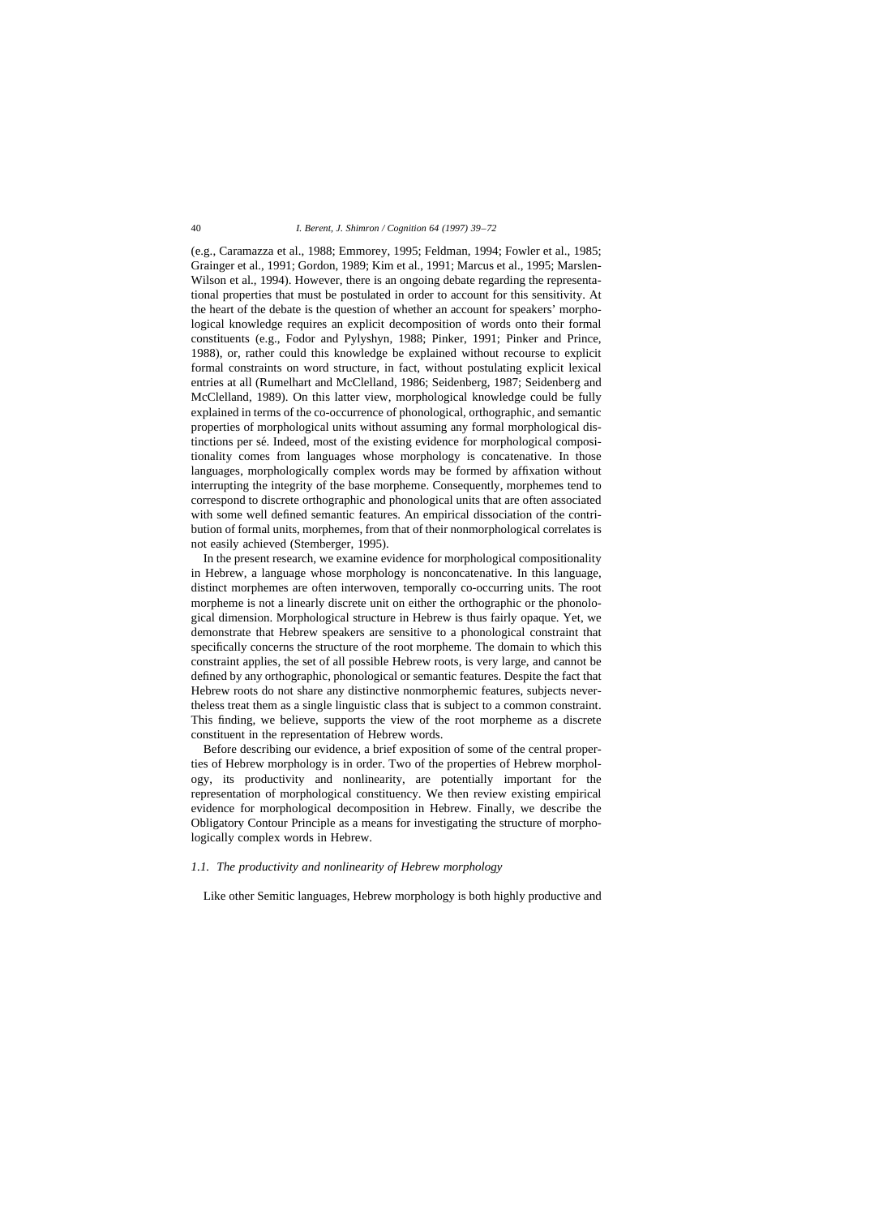(e.g., Caramazza et al., 1988; Emmorey, 1995; Feldman, 1994; Fowler et al., 1985; Grainger et al., 1991; Gordon, 1989; Kim et al., 1991; Marcus et al., 1995; Marslen-Wilson et al., 1994). However, there is an ongoing debate regarding the representational properties that must be postulated in order to account for this sensitivity. At the heart of the debate is the question of whether an account for speakers' morphological knowledge requires an explicit decomposition of words onto their formal constituents (e.g., Fodor and Pylyshyn, 1988; Pinker, 1991; Pinker and Prince, 1988), or, rather could this knowledge be explained without recourse to explicit formal constraints on word structure, in fact, without postulating explicit lexical entries at all (Rumelhart and McClelland, 1986; Seidenberg, 1987; Seidenberg and McClelland, 1989). On this latter view, morphological knowledge could be fully explained in terms of the co-occurrence of phonological, orthographic, and semantic properties of morphological units without assuming any formal morphological distinctions per sé. Indeed, most of the existing evidence for morphological compositionality comes from languages whose morphology is concatenative. In those languages, morphologically complex words may be formed by affixation without interrupting the integrity of the base morpheme. Consequently, morphemes tend to correspond to discrete orthographic and phonological units that are often associated with some well defined semantic features. An empirical dissociation of the contribution of formal units, morphemes, from that of their nonmorphological correlates is not easily achieved (Stemberger, 1995).

In the present research, we examine evidence for morphological compositionality in Hebrew, a language whose morphology is nonconcatenative. In this language, distinct morphemes are often interwoven, temporally co-occurring units. The root morpheme is not a linearly discrete unit on either the orthographic or the phonological dimension. Morphological structure in Hebrew is thus fairly opaque. Yet, we demonstrate that Hebrew speakers are sensitive to a phonological constraint that specifically concerns the structure of the root morpheme. The domain to which this constraint applies, the set of all possible Hebrew roots, is very large, and cannot be defined by any orthographic, phonological or semantic features. Despite the fact that Hebrew roots do not share any distinctive nonmorphemic features, subjects nevertheless treat them as a single linguistic class that is subject to a common constraint. This finding, we believe, supports the view of the root morpheme as a discrete constituent in the representation of Hebrew words.

Before describing our evidence, a brief exposition of some of the central properties of Hebrew morphology is in order. Two of the properties of Hebrew morphology, its productivity and nonlinearity, are potentially important for the representation of morphological constituency. We then review existing empirical evidence for morphological decomposition in Hebrew. Finally, we describe the Obligatory Contour Principle as a means for investigating the structure of morphologically complex words in Hebrew.

### *1.1. The productivity and nonlinearity of Hebrew morphology*

Like other Semitic languages, Hebrew morphology is both highly productive and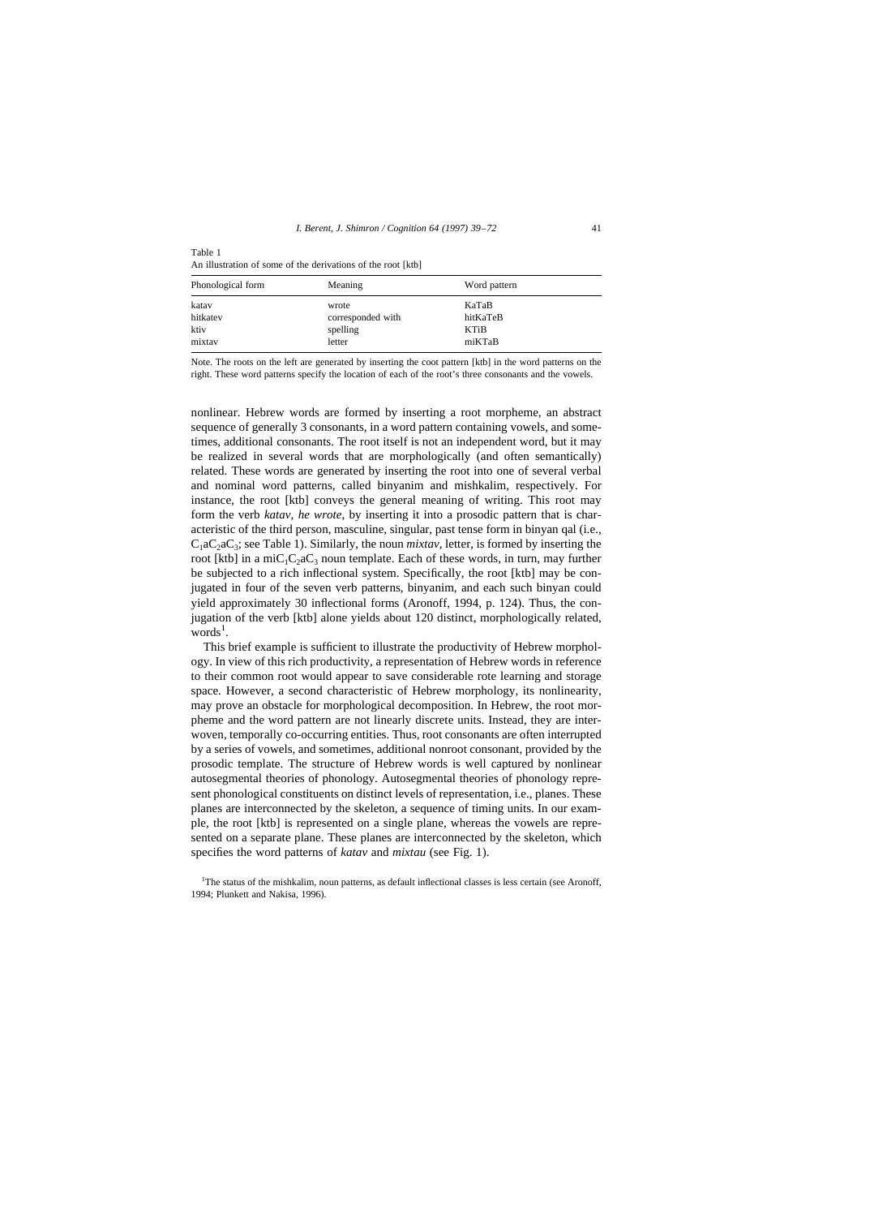| Phonological form | Meaning           | Word pattern |  |
|-------------------|-------------------|--------------|--|
| katav             | wrote             | KaTaB        |  |
| hitkatev          | corresponded with | hitKaTeB     |  |
| ktiv              | spelling          | KTiB         |  |
| mixtav            | letter            | miKTaB       |  |

Table 1 An illustration of some of the derivations of the root [ktb]

Note. The roots on the left are generated by inserting the coot pattern [ktb] in the word patterns on the right. These word patterns specify the location of each of the root's three consonants and the vowels.

nonlinear. Hebrew words are formed by inserting a root morpheme, an abstract sequence of generally 3 consonants, in a word pattern containing vowels, and sometimes, additional consonants. The root itself is not an independent word, but it may be realized in several words that are morphologically (and often semantically) related. These words are generated by inserting the root into one of several verbal and nominal word patterns, called binyanim and mishkalim, respectively. For instance, the root [ktb] conveys the general meaning of writing. This root may form the verb *katav, he wrote*, by inserting it into a prosodic pattern that is characteristic of the third person, masculine, singular, past tense form in binyan qal (i.e.,  $C_1aC_2aC_3$ ; see Table 1). Similarly, the noun *mixtav*, letter, is formed by inserting the root [ktb] in a mi $C_1C_2aC_3$  noun template. Each of these words, in turn, may further be subjected to a rich inflectional system. Specifically, the root [ktb] may be conjugated in four of the seven verb patterns, binyanim, and each such binyan could yield approximately 30 inflectional forms (Aronoff, 1994, p. 124). Thus, the conjugation of the verb [ktb] alone yields about 120 distinct, morphologically related,  $words<sup>1</sup>$ .

This brief example is sufficient to illustrate the productivity of Hebrew morphology. In view of this rich productivity, a representation of Hebrew words in reference to their common root would appear to save considerable rote learning and storage space. However, a second characteristic of Hebrew morphology, its nonlinearity, may prove an obstacle for morphological decomposition. In Hebrew, the root morpheme and the word pattern are not linearly discrete units. Instead, they are interwoven, temporally co-occurring entities. Thus, root consonants are often interrupted by a series of vowels, and sometimes, additional nonroot consonant, provided by the prosodic template. The structure of Hebrew words is well captured by nonlinear autosegmental theories of phonology. Autosegmental theories of phonology represent phonological constituents on distinct levels of representation, i.e., planes. These planes are interconnected by the skeleton, a sequence of timing units. In our example, the root [ktb] is represented on a single plane, whereas the vowels are represented on a separate plane. These planes are interconnected by the skeleton, which specifies the word patterns of *katav* and *mixtau* (see Fig. 1).

<sup>1</sup>The status of the mishkalim, noun patterns, as default inflectional classes is less certain (see Aronoff, 1994; Plunkett and Nakisa, 1996).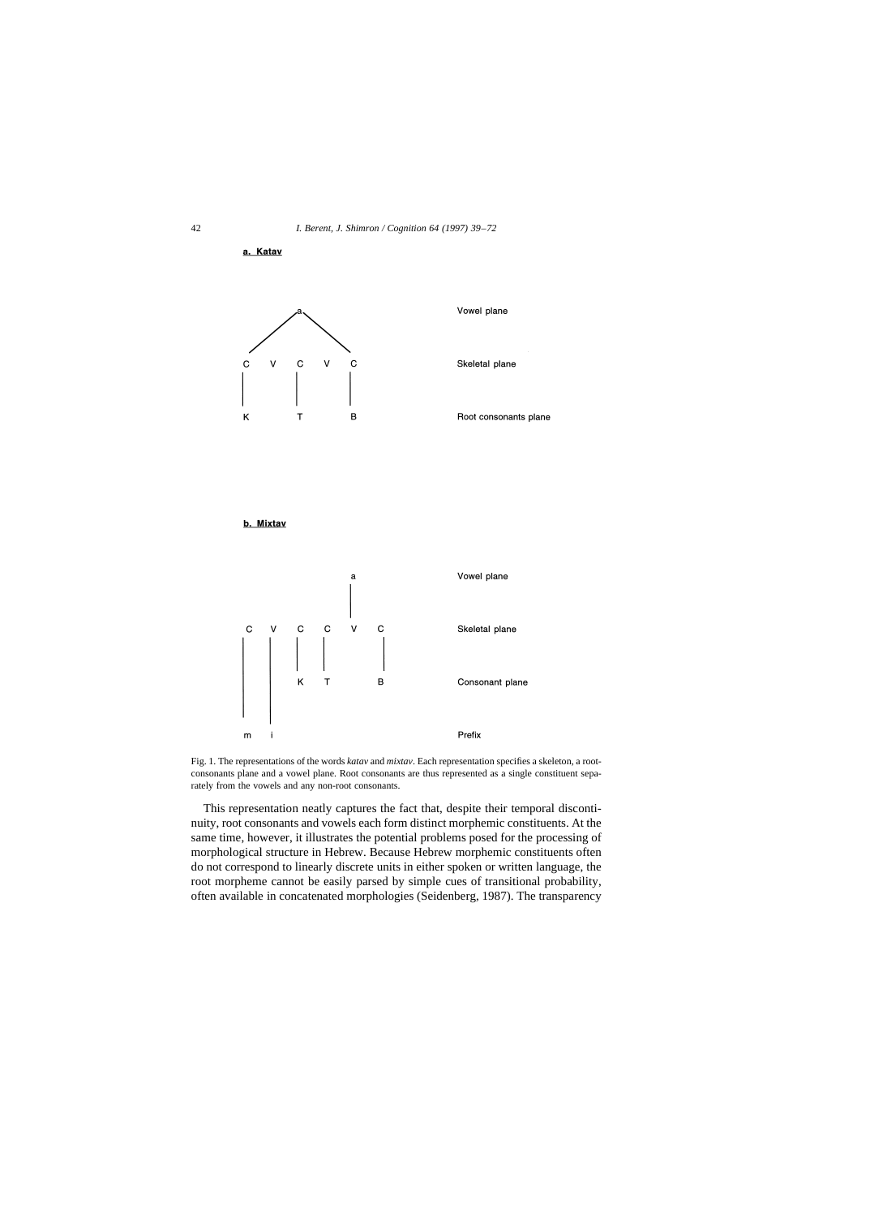

Fig. 1. The representations of the words *katav* and *mixtav*. Each representation specifies a skeleton, a rootconsonants plane and a vowel plane. Root consonants are thus represented as a single constituent separately from the vowels and any non-root consonants.

This representation neatly captures the fact that, despite their temporal discontinuity, root consonants and vowels each form distinct morphemic constituents. At the same time, however, it illustrates the potential problems posed for the processing of morphological structure in Hebrew. Because Hebrew morphemic constituents often do not correspond to linearly discrete units in either spoken or written language, the root morpheme cannot be easily parsed by simple cues of transitional probability, often available in concatenated morphologies (Seidenberg, 1987). The transparency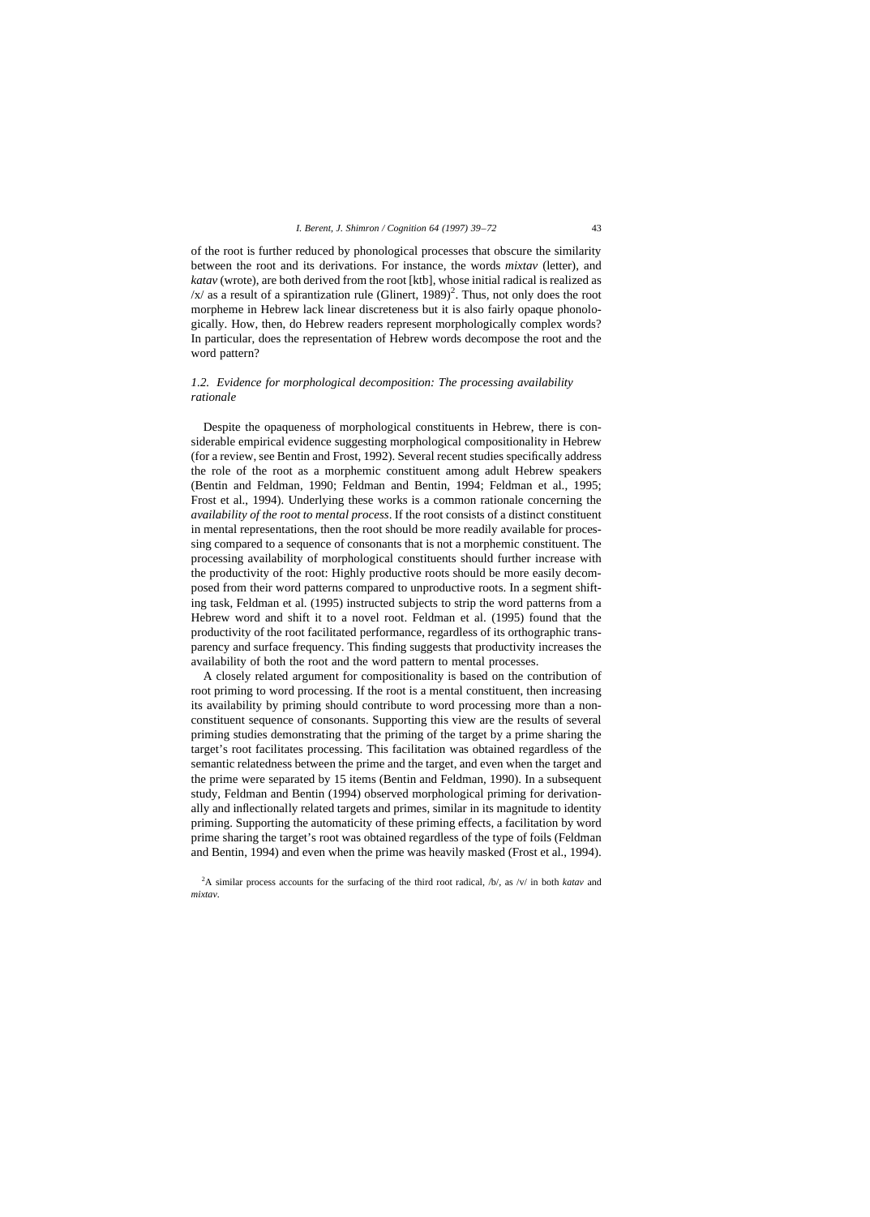of the root is further reduced by phonological processes that obscure the similarity between the root and its derivations. For instance, the words *mixtav* (letter), and *katav* (wrote), are both derived from the root [ktb], whose initial radical is realized as  $\frac{x}{x}$  as a result of a spirantization rule (Glinert, 1989)<sup>2</sup>. Thus, not only does the root morpheme in Hebrew lack linear discreteness but it is also fairly opaque phonologically. How, then, do Hebrew readers represent morphologically complex words? In particular, does the representation of Hebrew words decompose the root and the word pattern?

# *1.2. Evidence for morphological decomposition: The processing availability rationale*

Despite the opaqueness of morphological constituents in Hebrew, there is considerable empirical evidence suggesting morphological compositionality in Hebrew (for a review, see Bentin and Frost, 1992). Several recent studies specifically address the role of the root as a morphemic constituent among adult Hebrew speakers (Bentin and Feldman, 1990; Feldman and Bentin, 1994; Feldman et al., 1995; Frost et al., 1994). Underlying these works is a common rationale concerning the *availability of the root to mental process*. If the root consists of a distinct constituent in mental representations, then the root should be more readily available for processing compared to a sequence of consonants that is not a morphemic constituent. The processing availability of morphological constituents should further increase with the productivity of the root: Highly productive roots should be more easily decomposed from their word patterns compared to unproductive roots. In a segment shifting task, Feldman et al. (1995) instructed subjects to strip the word patterns from a Hebrew word and shift it to a novel root. Feldman et al. (1995) found that the productivity of the root facilitated performance, regardless of its orthographic transparency and surface frequency. This finding suggests that productivity increases the availability of both the root and the word pattern to mental processes.

A closely related argument for compositionality is based on the contribution of root priming to word processing. If the root is a mental constituent, then increasing its availability by priming should contribute to word processing more than a nonconstituent sequence of consonants. Supporting this view are the results of several priming studies demonstrating that the priming of the target by a prime sharing the target's root facilitates processing. This facilitation was obtained regardless of the semantic relatedness between the prime and the target, and even when the target and the prime were separated by 15 items (Bentin and Feldman, 1990). In a subsequent study, Feldman and Bentin (1994) observed morphological priming for derivationally and inflectionally related targets and primes, similar in its magnitude to identity priming. Supporting the automaticity of these priming effects, a facilitation by word prime sharing the target's root was obtained regardless of the type of foils (Feldman and Bentin, 1994) and even when the prime was heavily masked (Frost et al., 1994).

<sup>2</sup> A similar process accounts for the surfacing of the third root radical, /b/, as /v/ in both *katav* and *mixtav*.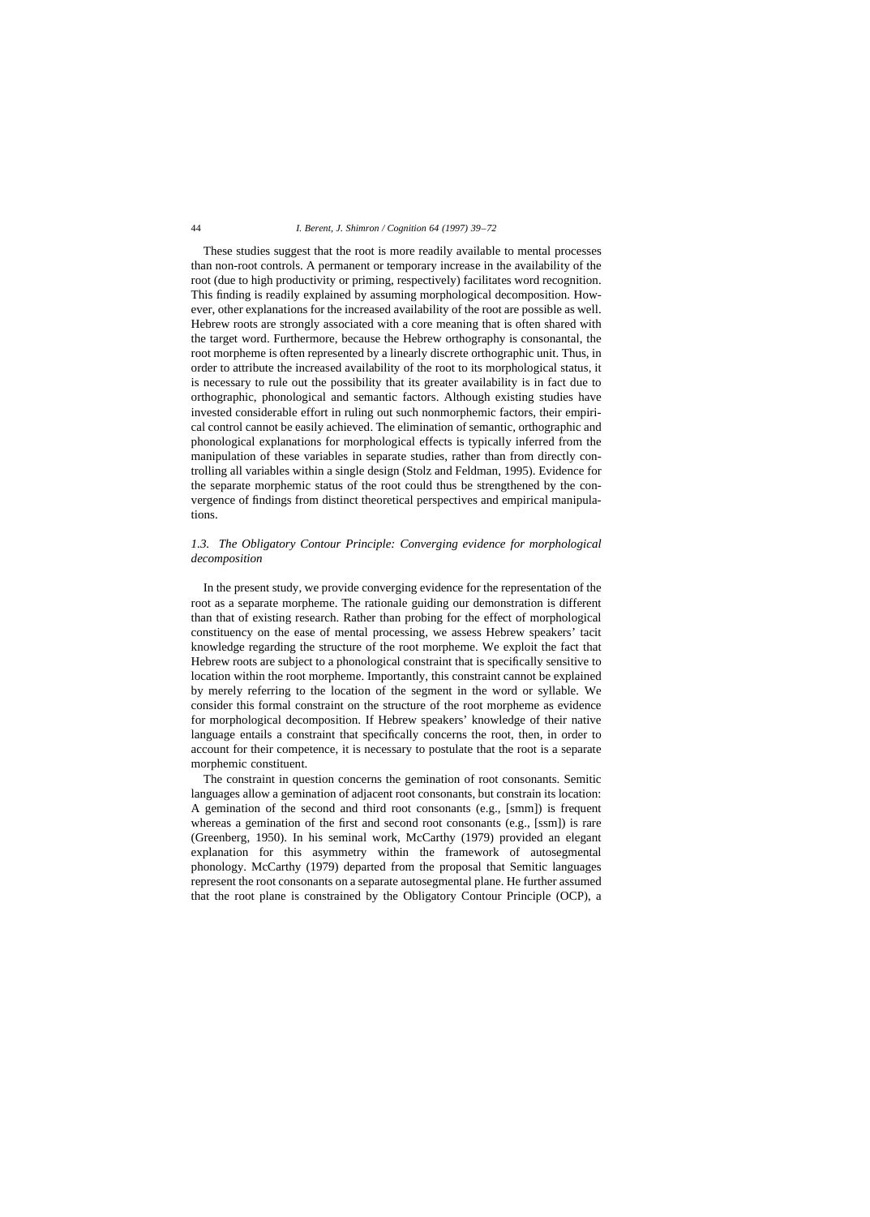These studies suggest that the root is more readily available to mental processes than non-root controls. A permanent or temporary increase in the availability of the root (due to high productivity or priming, respectively) facilitates word recognition. This finding is readily explained by assuming morphological decomposition. However, other explanations for the increased availability of the root are possible as well. Hebrew roots are strongly associated with a core meaning that is often shared with the target word. Furthermore, because the Hebrew orthography is consonantal, the root morpheme is often represented by a linearly discrete orthographic unit. Thus, in order to attribute the increased availability of the root to its morphological status, it is necessary to rule out the possibility that its greater availability is in fact due to orthographic, phonological and semantic factors. Although existing studies have invested considerable effort in ruling out such nonmorphemic factors, their empirical control cannot be easily achieved. The elimination of semantic, orthographic and phonological explanations for morphological effects is typically inferred from the manipulation of these variables in separate studies, rather than from directly controlling all variables within a single design (Stolz and Feldman, 1995). Evidence for the separate morphemic status of the root could thus be strengthened by the convergence of findings from distinct theoretical perspectives and empirical manipulations.

# *1.3. The Obligatory Contour Principle: Converging evidence for morphological decomposition*

In the present study, we provide converging evidence for the representation of the root as a separate morpheme. The rationale guiding our demonstration is different than that of existing research. Rather than probing for the effect of morphological constituency on the ease of mental processing, we assess Hebrew speakers' tacit knowledge regarding the structure of the root morpheme. We exploit the fact that Hebrew roots are subject to a phonological constraint that is specifically sensitive to location within the root morpheme. Importantly, this constraint cannot be explained by merely referring to the location of the segment in the word or syllable. We consider this formal constraint on the structure of the root morpheme as evidence for morphological decomposition. If Hebrew speakers' knowledge of their native language entails a constraint that specifically concerns the root, then, in order to account for their competence, it is necessary to postulate that the root is a separate morphemic constituent.

The constraint in question concerns the gemination of root consonants. Semitic languages allow a gemination of adjacent root consonants, but constrain its location: A gemination of the second and third root consonants (e.g., [smm]) is frequent whereas a gemination of the first and second root consonants (e.g., [ssm]) is rare (Greenberg, 1950). In his seminal work, McCarthy (1979) provided an elegant explanation for this asymmetry within the framework of autosegmental phonology. McCarthy (1979) departed from the proposal that Semitic languages represent the root consonants on a separate autosegmental plane. He further assumed that the root plane is constrained by the Obligatory Contour Principle (OCP), a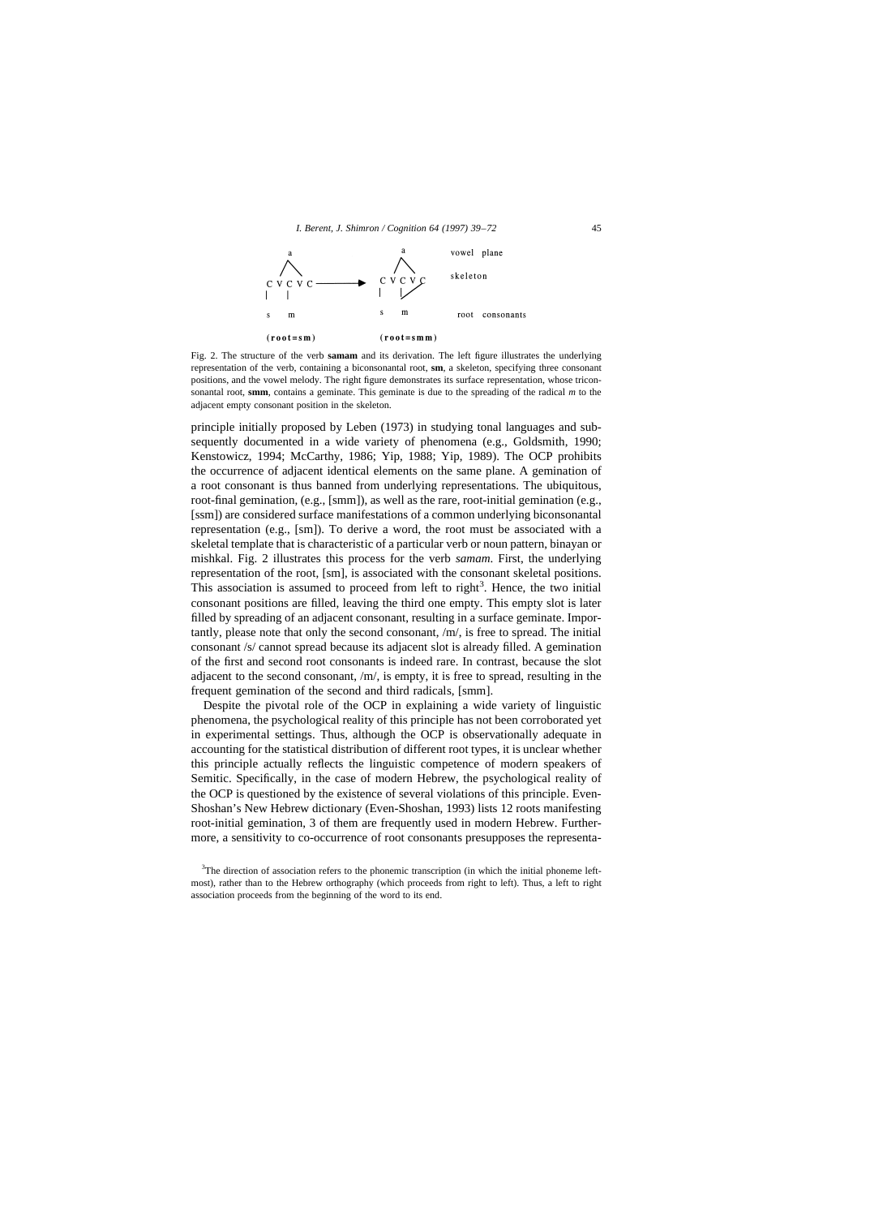

Fig. 2. The structure of the verb **samam** and its derivation. The left figure illustrates the underlying representation of the verb, containing a biconsonantal root, **sm**, a skeleton, specifying three consonant positions, and the vowel melody. The right figure demonstrates its surface representation, whose triconsonantal root, **smm**, contains a geminate. This geminate is due to the spreading of the radical *m* to the adjacent empty consonant position in the skeleton.

principle initially proposed by Leben (1973) in studying tonal languages and subsequently documented in a wide variety of phenomena (e.g., Goldsmith, 1990; Kenstowicz, 1994; McCarthy, 1986; Yip, 1988; Yip, 1989). The OCP prohibits the occurrence of adjacent identical elements on the same plane. A gemination of a root consonant is thus banned from underlying representations. The ubiquitous, root-final gemination, (e.g., [smm]), as well as the rare, root-initial gemination (e.g., [ssm]) are considered surface manifestations of a common underlying biconsonantal representation (e.g., [sm]). To derive a word, the root must be associated with a skeletal template that is characteristic of a particular verb or noun pattern, binayan or mishkal. Fig. 2 illustrates this process for the verb *samam*. First, the underlying representation of the root, [sm], is associated with the consonant skeletal positions. This association is assumed to proceed from left to right<sup>3</sup>. Hence, the two initial consonant positions are filled, leaving the third one empty. This empty slot is later filled by spreading of an adjacent consonant, resulting in a surface geminate. Importantly, please note that only the second consonant, /m/, is free to spread. The initial consonant /s/ cannot spread because its adjacent slot is already filled. A gemination of the first and second root consonants is indeed rare. In contrast, because the slot adjacent to the second consonant, /m/, is empty, it is free to spread, resulting in the frequent gemination of the second and third radicals, [smm].

Despite the pivotal role of the OCP in explaining a wide variety of linguistic phenomena, the psychological reality of this principle has not been corroborated yet in experimental settings. Thus, although the OCP is observationally adequate in accounting for the statistical distribution of different root types, it is unclear whether this principle actually reflects the linguistic competence of modern speakers of Semitic. Specifically, in the case of modern Hebrew, the psychological reality of the OCP is questioned by the existence of several violations of this principle. Even-Shoshan's New Hebrew dictionary (Even-Shoshan, 1993) lists 12 roots manifesting root-initial gemination, 3 of them are frequently used in modern Hebrew. Furthermore, a sensitivity to co-occurrence of root consonants presupposes the representa-

<sup>&</sup>lt;sup>3</sup>The direction of association refers to the phonemic transcription (in which the initial phoneme leftmost), rather than to the Hebrew orthography (which proceeds from right to left). Thus, a left to right association proceeds from the beginning of the word to its end.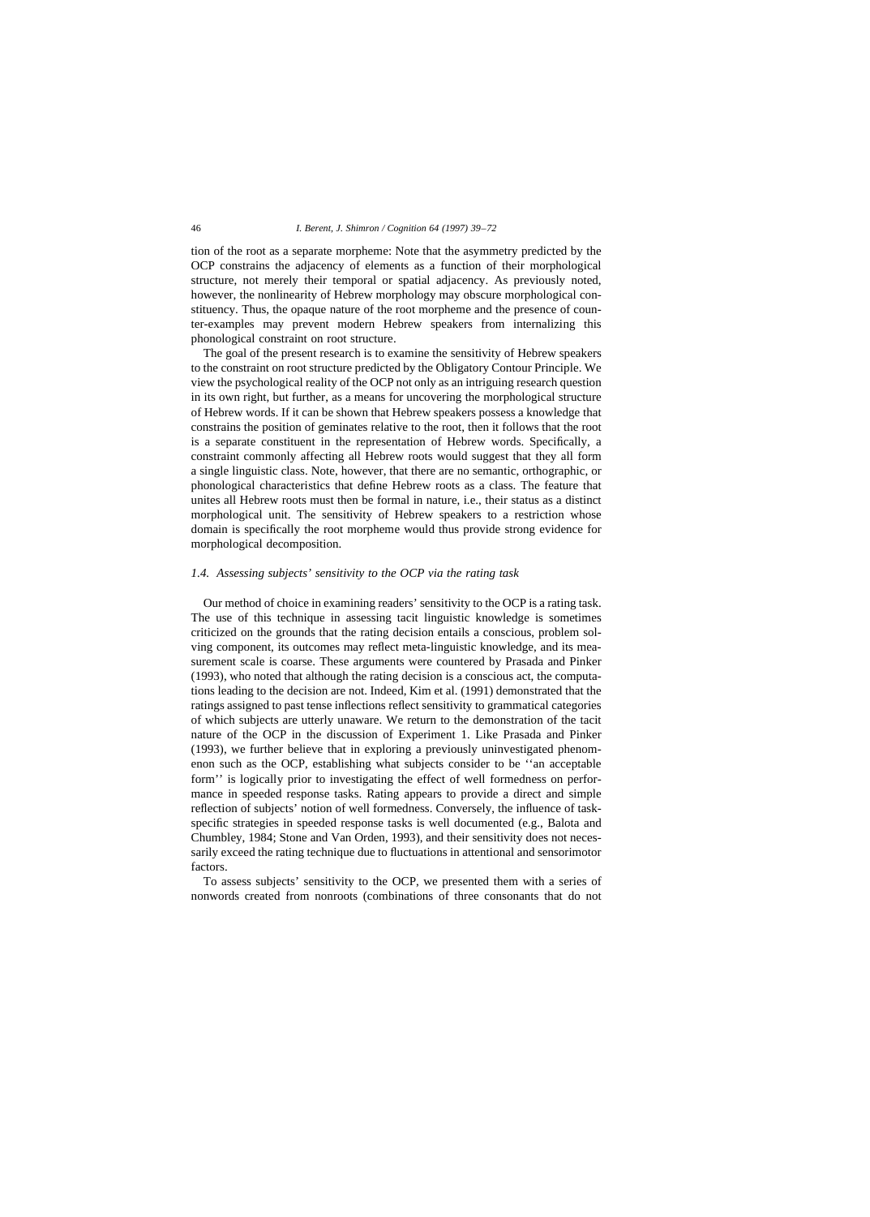tion of the root as a separate morpheme: Note that the asymmetry predicted by the OCP constrains the adjacency of elements as a function of their morphological structure, not merely their temporal or spatial adjacency. As previously noted, however, the nonlinearity of Hebrew morphology may obscure morphological constituency. Thus, the opaque nature of the root morpheme and the presence of counter-examples may prevent modern Hebrew speakers from internalizing this phonological constraint on root structure.

The goal of the present research is to examine the sensitivity of Hebrew speakers to the constraint on root structure predicted by the Obligatory Contour Principle. We view the psychological reality of the OCP not only as an intriguing research question in its own right, but further, as a means for uncovering the morphological structure of Hebrew words. If it can be shown that Hebrew speakers possess a knowledge that constrains the position of geminates relative to the root, then it follows that the root is a separate constituent in the representation of Hebrew words. Specifically, a constraint commonly affecting all Hebrew roots would suggest that they all form a single linguistic class. Note, however, that there are no semantic, orthographic, or phonological characteristics that define Hebrew roots as a class. The feature that unites all Hebrew roots must then be formal in nature, i.e., their status as a distinct morphological unit. The sensitivity of Hebrew speakers to a restriction whose domain is specifically the root morpheme would thus provide strong evidence for morphological decomposition.

# *1.4. Assessing subjects' sensitivity to the OCP via the rating task*

Our method of choice in examining readers' sensitivity to the OCP is a rating task. The use of this technique in assessing tacit linguistic knowledge is sometimes criticized on the grounds that the rating decision entails a conscious, problem solving component, its outcomes may reflect meta-linguistic knowledge, and its measurement scale is coarse. These arguments were countered by Prasada and Pinker (1993), who noted that although the rating decision is a conscious act, the computations leading to the decision are not. Indeed, Kim et al. (1991) demonstrated that the ratings assigned to past tense inflections reflect sensitivity to grammatical categories of which subjects are utterly unaware. We return to the demonstration of the tacit nature of the OCP in the discussion of Experiment 1. Like Prasada and Pinker (1993), we further believe that in exploring a previously uninvestigated phenomenon such as the OCP, establishing what subjects consider to be ''an acceptable form'' is logically prior to investigating the effect of well formedness on performance in speeded response tasks. Rating appears to provide a direct and simple reflection of subjects' notion of well formedness. Conversely, the influence of taskspecific strategies in speeded response tasks is well documented (e.g., Balota and Chumbley, 1984; Stone and Van Orden, 1993), and their sensitivity does not necessarily exceed the rating technique due to fluctuations in attentional and sensorimotor factors.

To assess subjects' sensitivity to the OCP, we presented them with a series of nonwords created from nonroots (combinations of three consonants that do not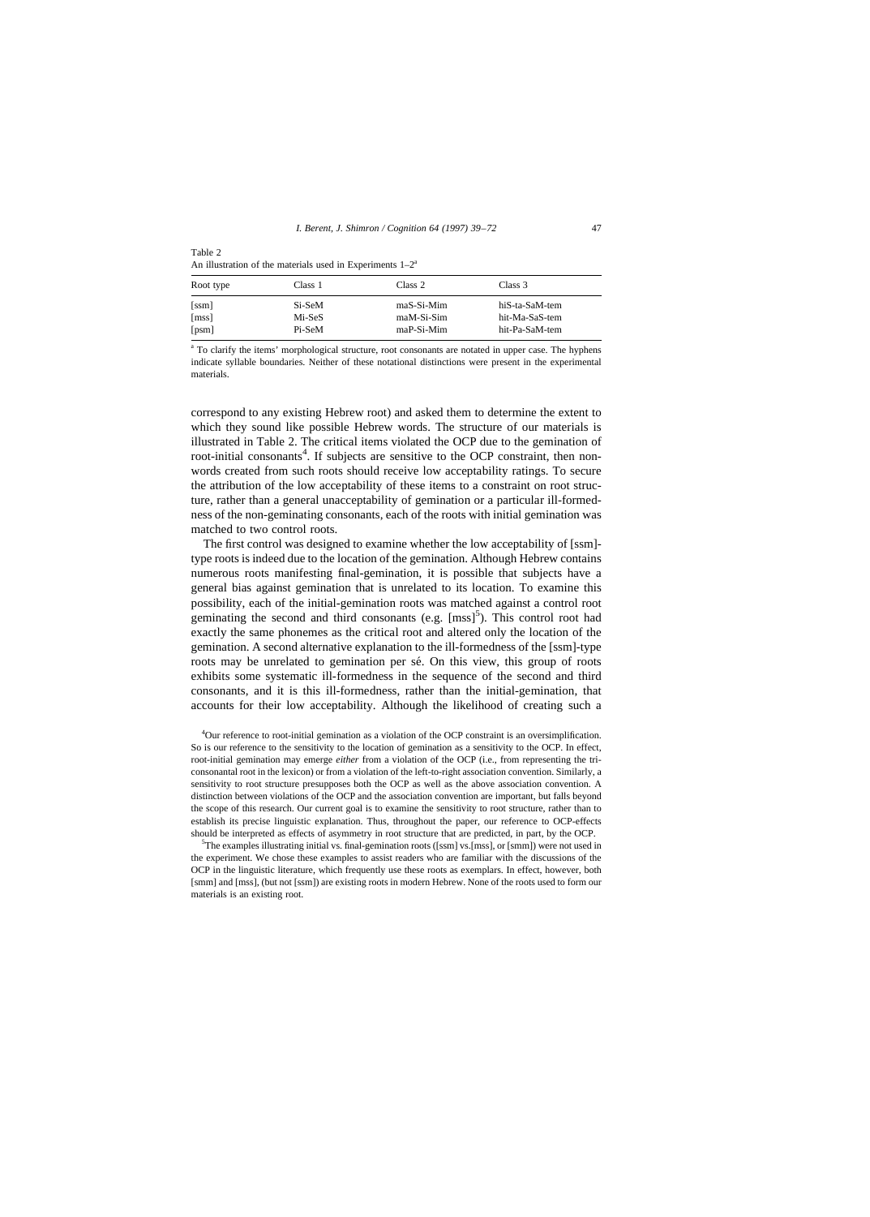| Root type | Class 1 | Class 2    | Class 3                     |
|-----------|---------|------------|-----------------------------|
| [ssm]     | Si-SeM  | maS-Si-Mim | hi <sub>S</sub> -ta-SaM-tem |
| [mss]     | Mi-SeS  | maM-Si-Sim | hit-Ma-SaS-tem              |
| [psm]     | Pi-SeM  | maP-Si-Mim | hit-Pa-SaM-tem              |

Table 2 An illustration of the materials used in Experiments  $1-2^a$ 

<sup>a</sup> To clarify the items' morphological structure, root consonants are notated in upper case. The hyphens indicate syllable boundaries. Neither of these notational distinctions were present in the experimental materials.

correspond to any existing Hebrew root) and asked them to determine the extent to which they sound like possible Hebrew words. The structure of our materials is illustrated in Table 2. The critical items violated the OCP due to the gemination of root-initial consonants<sup>4</sup>. If subjects are sensitive to the OCP constraint, then nonwords created from such roots should receive low acceptability ratings. To secure the attribution of the low acceptability of these items to a constraint on root structure, rather than a general unacceptability of gemination or a particular ill-formedness of the non-geminating consonants, each of the roots with initial gemination was matched to two control roots.

The first control was designed to examine whether the low acceptability of [ssm] type roots is indeed due to the location of the gemination. Although Hebrew contains numerous roots manifesting final-gemination, it is possible that subjects have a general bias against gemination that is unrelated to its location. To examine this possibility, each of the initial-gemination roots was matched against a control root geminating the second and third consonants (e.g. [mss]<sup>5</sup>). This control root had exactly the same phonemes as the critical root and altered only the location of the gemination. A second alternative explanation to the ill-formedness of the [ssm]-type roots may be unrelated to gemination per sé. On this view, this group of roots exhibits some systematic ill-formedness in the sequence of the second and third consonants, and it is this ill-formedness, rather than the initial-gemination, that accounts for their low acceptability. Although the likelihood of creating such a

<sup>4</sup>Our reference to root-initial gemination as a violation of the OCP constraint is an oversimplification. So is our reference to the sensitivity to the location of gemination as a sensitivity to the OCP. In effect, root-initial gemination may emerge *either* from a violation of the OCP (i.e., from representing the triconsonantal root in the lexicon) or from a violation of the left-to-right association convention. Similarly, a sensitivity to root structure presupposes both the OCP as well as the above association convention. A distinction between violations of the OCP and the association convention are important, but falls beyond the scope of this research. Our current goal is to examine the sensitivity to root structure, rather than to establish its precise linguistic explanation. Thus, throughout the paper, our reference to OCP-effects should be interpreted as effects of asymmetry in root structure that are predicted, in part, by the OCP.

<sup>5</sup>The examples illustrating initial vs. final-gemination roots ([ssm] vs.[mss], or [smm]) were not used in the experiment. We chose these examples to assist readers who are familiar with the discussions of the OCP in the linguistic literature, which frequently use these roots as exemplars. In effect, however, both [smm] and [mss], (but not [ssm]) are existing roots in modern Hebrew. None of the roots used to form our materials is an existing root.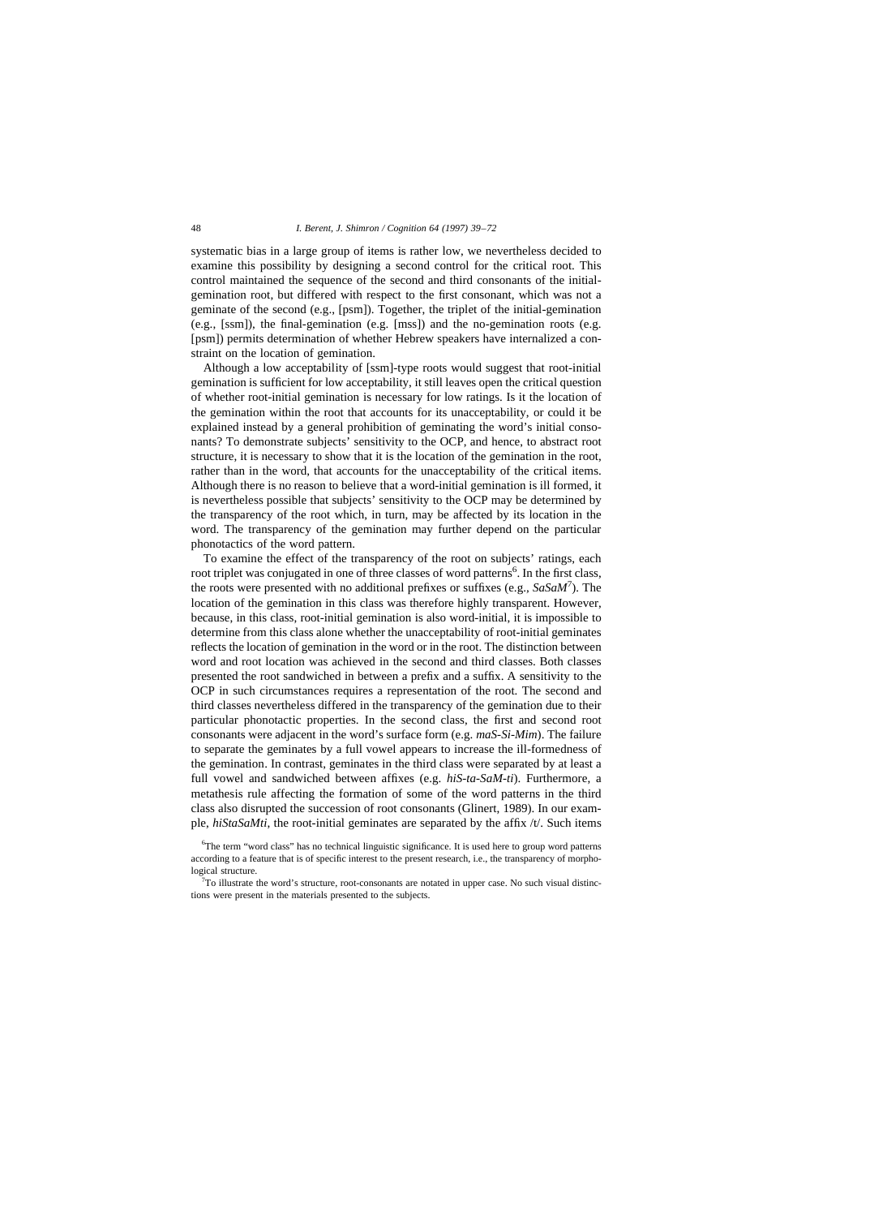systematic bias in a large group of items is rather low, we nevertheless decided to examine this possibility by designing a second control for the critical root. This control maintained the sequence of the second and third consonants of the initialgemination root, but differed with respect to the first consonant, which was not a geminate of the second (e.g., [psm]). Together, the triplet of the initial-gemination (e.g., [ssm]), the final-gemination (e.g. [mss]) and the no-gemination roots (e.g. [psm]) permits determination of whether Hebrew speakers have internalized a constraint on the location of gemination.

Although a low acceptability of [ssm]-type roots would suggest that root-initial gemination is sufficient for low acceptability, it still leaves open the critical question of whether root-initial gemination is necessary for low ratings. Is it the location of the gemination within the root that accounts for its unacceptability, or could it be explained instead by a general prohibition of geminating the word's initial consonants? To demonstrate subjects' sensitivity to the OCP, and hence, to abstract root structure, it is necessary to show that it is the location of the gemination in the root, rather than in the word, that accounts for the unacceptability of the critical items. Although there is no reason to believe that a word-initial gemination is ill formed, it is nevertheless possible that subjects' sensitivity to the OCP may be determined by the transparency of the root which, in turn, may be affected by its location in the word. The transparency of the gemination may further depend on the particular phonotactics of the word pattern.

To examine the effect of the transparency of the root on subjects' ratings, each root triplet was conjugated in one of three classes of word patterns<sup>6</sup>. In the first class, the roots were presented with no additional prefixes or suffixes (e.g., *SaSaM*<sup>7</sup> ). The location of the gemination in this class was therefore highly transparent. However, because, in this class, root-initial gemination is also word-initial, it is impossible to determine from this class alone whether the unacceptability of root-initial geminates reflects the location of gemination in the word or in the root. The distinction between word and root location was achieved in the second and third classes. Both classes presented the root sandwiched in between a prefix and a suffix. A sensitivity to the OCP in such circumstances requires a representation of the root. The second and third classes nevertheless differed in the transparency of the gemination due to their particular phonotactic properties. In the second class, the first and second root consonants were adjacent in the word's surface form (e.g. *maS-Si-Mim*). The failure to separate the geminates by a full vowel appears to increase the ill-formedness of the gemination. In contrast, geminates in the third class were separated by at least a full vowel and sandwiched between affixes (e.g. *hiS-ta-SaM-ti*). Furthermore, a metathesis rule affecting the formation of some of the word patterns in the third class also disrupted the succession of root consonants (Glinert, 1989). In our example, *hiStaSaMti*, the root-initial geminates are separated by the affix /t/. Such items

<sup>&</sup>lt;sup>6</sup>The term "word class" has no technical linguistic significance. It is used here to group word patterns according to a feature that is of specific interest to the present research, i.e., the transparency of morphological structure.

 $7$ To illustrate the word's structure, root-consonants are notated in upper case. No such visual distinctions were present in the materials presented to the subjects.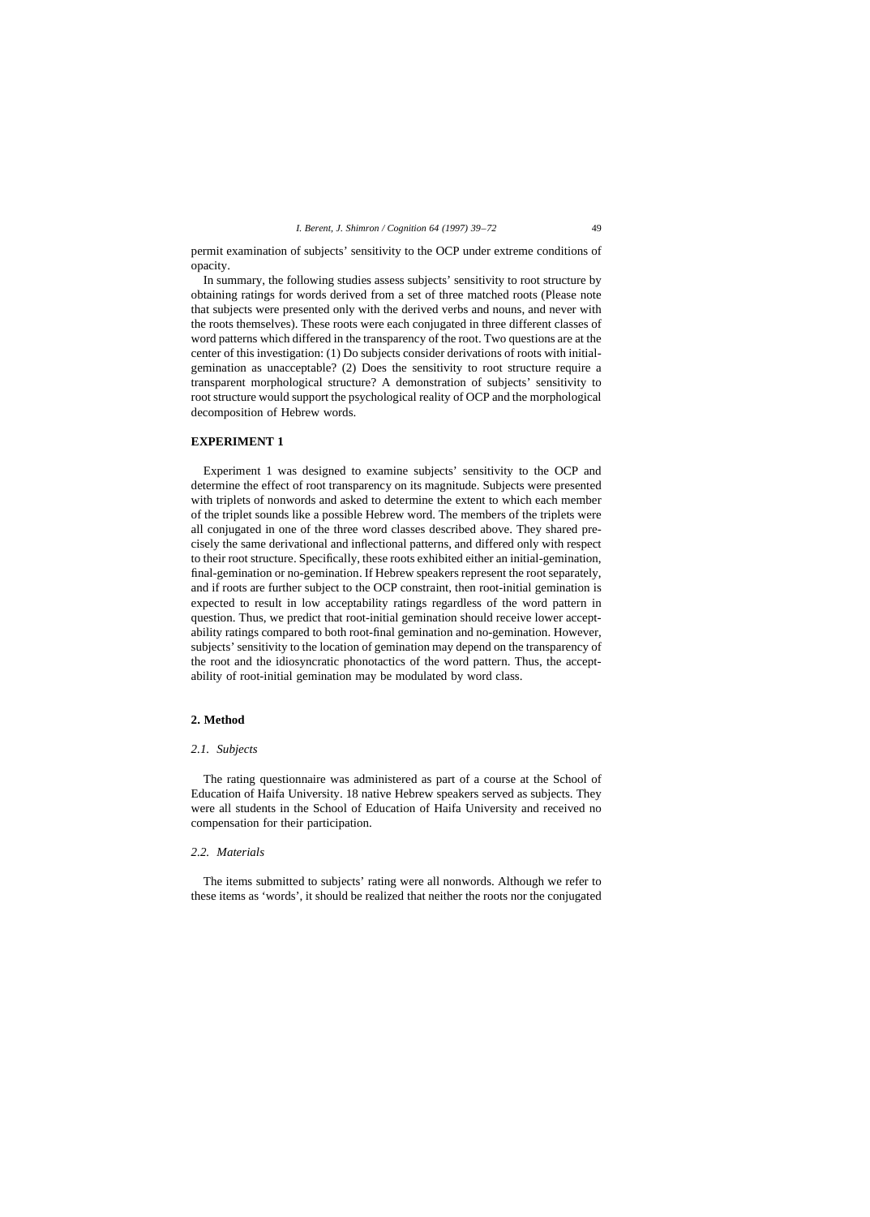permit examination of subjects' sensitivity to the OCP under extreme conditions of opacity.

In summary, the following studies assess subjects' sensitivity to root structure by obtaining ratings for words derived from a set of three matched roots (Please note that subjects were presented only with the derived verbs and nouns, and never with the roots themselves). These roots were each conjugated in three different classes of word patterns which differed in the transparency of the root. Two questions are at the center of this investigation: (1) Do subjects consider derivations of roots with initialgemination as unacceptable? (2) Does the sensitivity to root structure require a transparent morphological structure? A demonstration of subjects' sensitivity to root structure would support the psychological reality of OCP and the morphological decomposition of Hebrew words.

# **EXPERIMENT 1**

Experiment 1 was designed to examine subjects' sensitivity to the OCP and determine the effect of root transparency on its magnitude. Subjects were presented with triplets of nonwords and asked to determine the extent to which each member of the triplet sounds like a possible Hebrew word. The members of the triplets were all conjugated in one of the three word classes described above. They shared precisely the same derivational and inflectional patterns, and differed only with respect to their root structure. Specifically, these roots exhibited either an initial-gemination, final-gemination or no-gemination. If Hebrew speakers represent the root separately, and if roots are further subject to the OCP constraint, then root-initial gemination is expected to result in low acceptability ratings regardless of the word pattern in question. Thus, we predict that root-initial gemination should receive lower acceptability ratings compared to both root-final gemination and no-gemination. However, subjects' sensitivity to the location of gemination may depend on the transparency of the root and the idiosyncratic phonotactics of the word pattern. Thus, the acceptability of root-initial gemination may be modulated by word class.

# **2. Method**

### *2.1. Subjects*

The rating questionnaire was administered as part of a course at the School of Education of Haifa University. 18 native Hebrew speakers served as subjects. They were all students in the School of Education of Haifa University and received no compensation for their participation.

# *2.2. Materials*

The items submitted to subjects' rating were all nonwords. Although we refer to these items as 'words', it should be realized that neither the roots nor the conjugated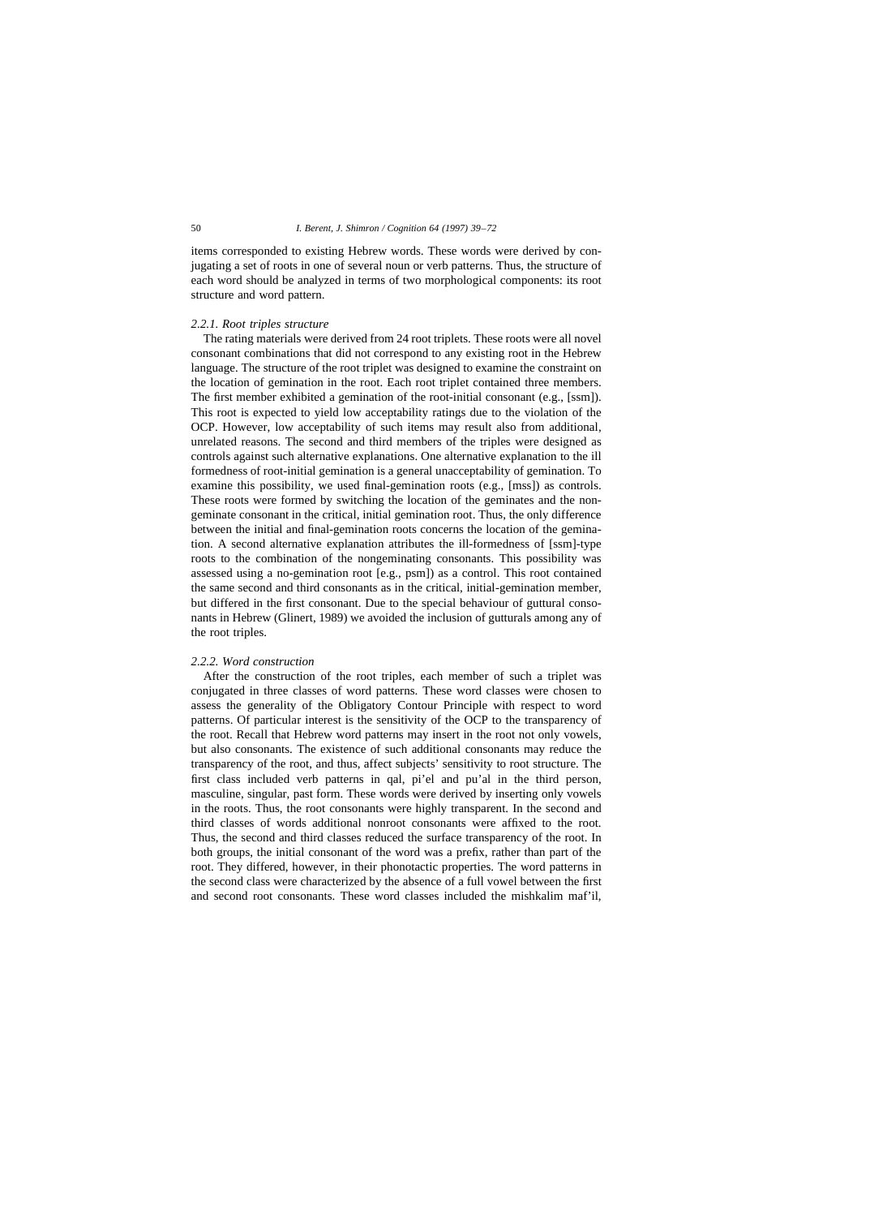items corresponded to existing Hebrew words. These words were derived by conjugating a set of roots in one of several noun or verb patterns. Thus, the structure of each word should be analyzed in terms of two morphological components: its root structure and word pattern.

### *2.2.1. Root triples structure*

The rating materials were derived from 24 root triplets. These roots were all novel consonant combinations that did not correspond to any existing root in the Hebrew language. The structure of the root triplet was designed to examine the constraint on the location of gemination in the root. Each root triplet contained three members. The first member exhibited a gemination of the root-initial consonant (e.g., [ssm]). This root is expected to yield low acceptability ratings due to the violation of the OCP. However, low acceptability of such items may result also from additional, unrelated reasons. The second and third members of the triples were designed as controls against such alternative explanations. One alternative explanation to the ill formedness of root-initial gemination is a general unacceptability of gemination. To examine this possibility, we used final-gemination roots (e.g., [mss]) as controls. These roots were formed by switching the location of the geminates and the nongeminate consonant in the critical, initial gemination root. Thus, the only difference between the initial and final-gemination roots concerns the location of the gemination. A second alternative explanation attributes the ill-formedness of [ssm]-type roots to the combination of the nongeminating consonants. This possibility was assessed using a no-gemination root [e.g., psm]) as a control. This root contained the same second and third consonants as in the critical, initial-gemination member, but differed in the first consonant. Due to the special behaviour of guttural consonants in Hebrew (Glinert, 1989) we avoided the inclusion of gutturals among any of the root triples.

### *2.2.2. Word construction*

After the construction of the root triples, each member of such a triplet was conjugated in three classes of word patterns. These word classes were chosen to assess the generality of the Obligatory Contour Principle with respect to word patterns. Of particular interest is the sensitivity of the OCP to the transparency of the root. Recall that Hebrew word patterns may insert in the root not only vowels, but also consonants. The existence of such additional consonants may reduce the transparency of the root, and thus, affect subjects' sensitivity to root structure. The first class included verb patterns in qal, pi'el and pu'al in the third person, masculine, singular, past form. These words were derived by inserting only vowels in the roots. Thus, the root consonants were highly transparent. In the second and third classes of words additional nonroot consonants were affixed to the root. Thus, the second and third classes reduced the surface transparency of the root. In both groups, the initial consonant of the word was a prefix, rather than part of the root. They differed, however, in their phonotactic properties. The word patterns in the second class were characterized by the absence of a full vowel between the first and second root consonants. These word classes included the mishkalim maf'il,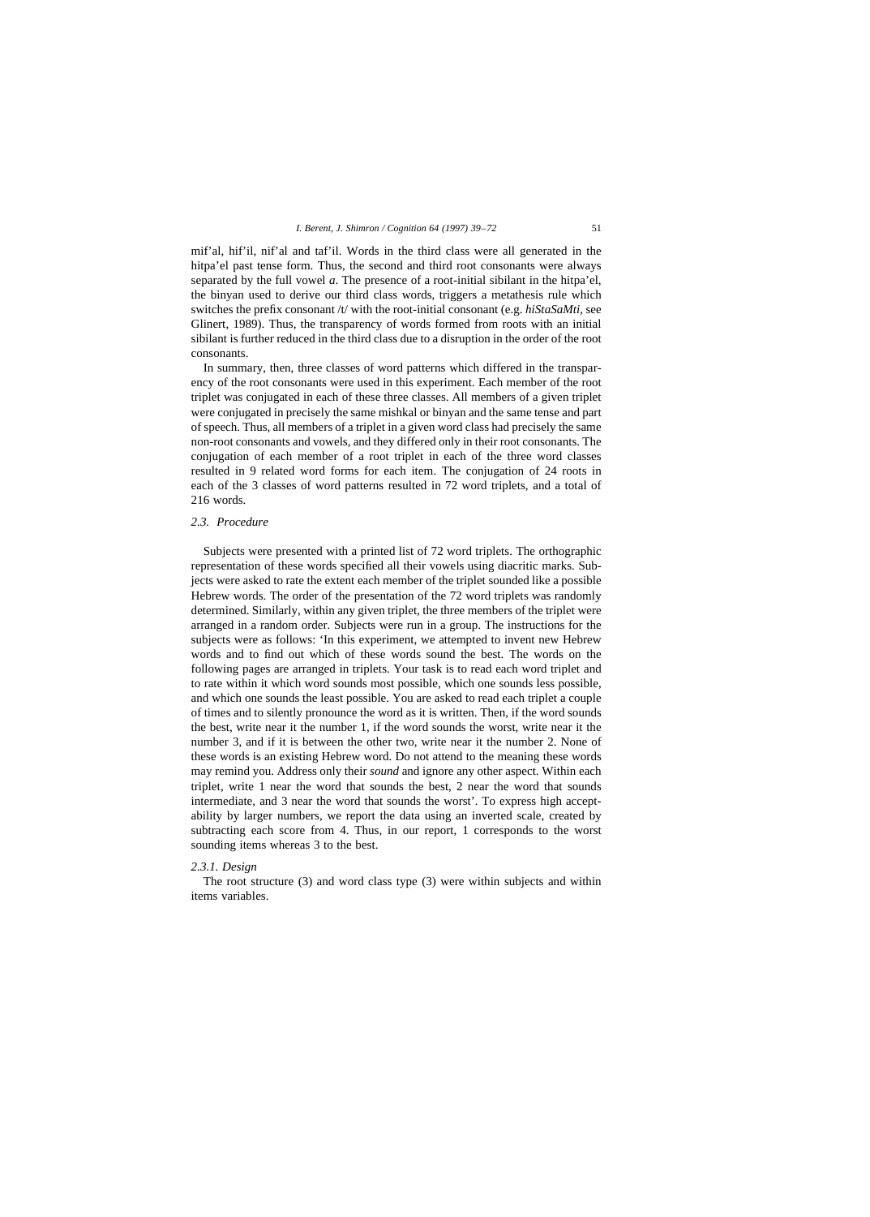mif'al, hif'il, nif'al and taf'il. Words in the third class were all generated in the hitpa'el past tense form. Thus, the second and third root consonants were always separated by the full vowel *a*. The presence of a root-initial sibilant in the hitpa'el, the binyan used to derive our third class words, triggers a metathesis rule which switches the prefix consonant /t/ with the root-initial consonant (e.g. *hiStaSaMti*, see Glinert, 1989). Thus, the transparency of words formed from roots with an initial sibilant is further reduced in the third class due to a disruption in the order of the root consonants.

In summary, then, three classes of word patterns which differed in the transparency of the root consonants were used in this experiment. Each member of the root triplet was conjugated in each of these three classes. All members of a given triplet were conjugated in precisely the same mishkal or binyan and the same tense and part of speech. Thus, all members of a triplet in a given word class had precisely the same non-root consonants and vowels, and they differed only in their root consonants. The conjugation of each member of a root triplet in each of the three word classes resulted in 9 related word forms for each item. The conjugation of 24 roots in each of the 3 classes of word patterns resulted in 72 word triplets, and a total of 216 words.

# *2.3. Procedure*

Subjects were presented with a printed list of 72 word triplets. The orthographic representation of these words specified all their vowels using diacritic marks. Subjects were asked to rate the extent each member of the triplet sounded like a possible Hebrew words. The order of the presentation of the 72 word triplets was randomly determined. Similarly, within any given triplet, the three members of the triplet were arranged in a random order. Subjects were run in a group. The instructions for the subjects were as follows: 'In this experiment, we attempted to invent new Hebrew words and to find out which of these words sound the best. The words on the following pages are arranged in triplets. Your task is to read each word triplet and to rate within it which word sounds most possible, which one sounds less possible, and which one sounds the least possible. You are asked to read each triplet a couple of times and to silently pronounce the word as it is written. Then, if the word sounds the best, write near it the number 1, if the word sounds the worst, write near it the number 3, and if it is between the other two, write near it the number 2. None of these words is an existing Hebrew word. Do not attend to the meaning these words may remind you. Address only their *sound* and ignore any other aspect. Within each triplet, write 1 near the word that sounds the best, 2 near the word that sounds intermediate, and 3 near the word that sounds the worst'. To express high acceptability by larger numbers, we report the data using an inverted scale, created by subtracting each score from 4. Thus, in our report, 1 corresponds to the worst sounding items whereas 3 to the best.

### *2.3.1. Design*

The root structure (3) and word class type (3) were within subjects and within items variables.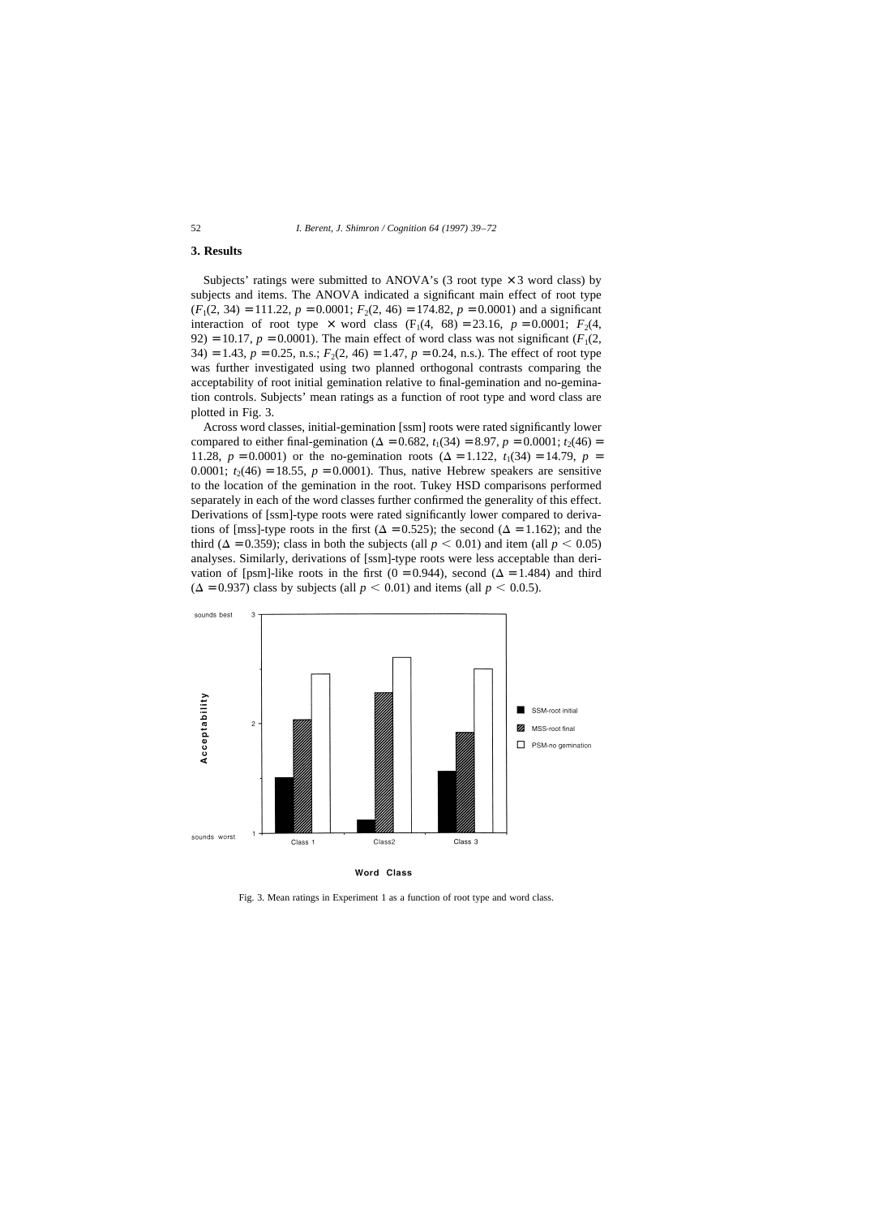# **3. Results**

Subjects' ratings were submitted to ANOVA's (3 root type  $\times$  3 word class) by subjects and items. The ANOVA indicated a significant main effect of root type  $(F_1(2, 34) = 111.22, p = 0.0001; F_2(2, 46) = 174.82, p = 0.0001$  and a significant interaction of root type  $\times$  word class (F<sub>1</sub>(4, 68) = 23.16, *p* = 0.0001;  $F_2$ (4, 92) = 10.17,  $p = 0.0001$ ). The main effect of word class was not significant ( $F_1(2)$ , 34) = 1.43,  $p = 0.25$ , n.s.;  $F<sub>2</sub>(2, 46) = 1.47$ ,  $p = 0.24$ , n.s.). The effect of root type was further investigated using two planned orthogonal contrasts comparing the acceptability of root initial gemination relative to final-gemination and no-gemination controls. Subjects' mean ratings as a function of root type and word class are plotted in Fig. 3.

Across word classes, initial-gemination [ssm] roots were rated significantly lower compared to either final-gemination ( $\Delta = 0.682$ ,  $t_1(34) = 8.97$ ,  $p = 0.0001$ ;  $t_2(46) =$ 11.28,  $p = 0.0001$ ) or the no-gemination roots ( $\Delta = 1.122$ ,  $t_1(34) = 14.79$ ,  $p =$ 0.0001;  $t_2(46) = 18.55$ ,  $p = 0.0001$ ). Thus, native Hebrew speakers are sensitive to the location of the gemination in the root. Tukey HSD comparisons performed separately in each of the word classes further confirmed the generality of this effect. Derivations of [ssm]-type roots were rated significantly lower compared to derivations of [mss]-type roots in the first ( $\Delta = 0.525$ ); the second ( $\Delta = 1.162$ ); and the third ( $\Delta$  = 0.359); class in both the subjects (all *p* < 0.01) and item (all *p* < 0.05) analyses. Similarly, derivations of [ssm]-type roots were less acceptable than derivation of [psm]-like roots in the first (0 = 0.944), second ( $\Delta$  = 1.484) and third  $(\Delta = 0.937)$  class by subjects (all  $p < 0.01$ ) and items (all  $p < 0.0.5$ ).



Word Class

Fig. 3. Mean ratings in Experiment 1 as a function of root type and word class.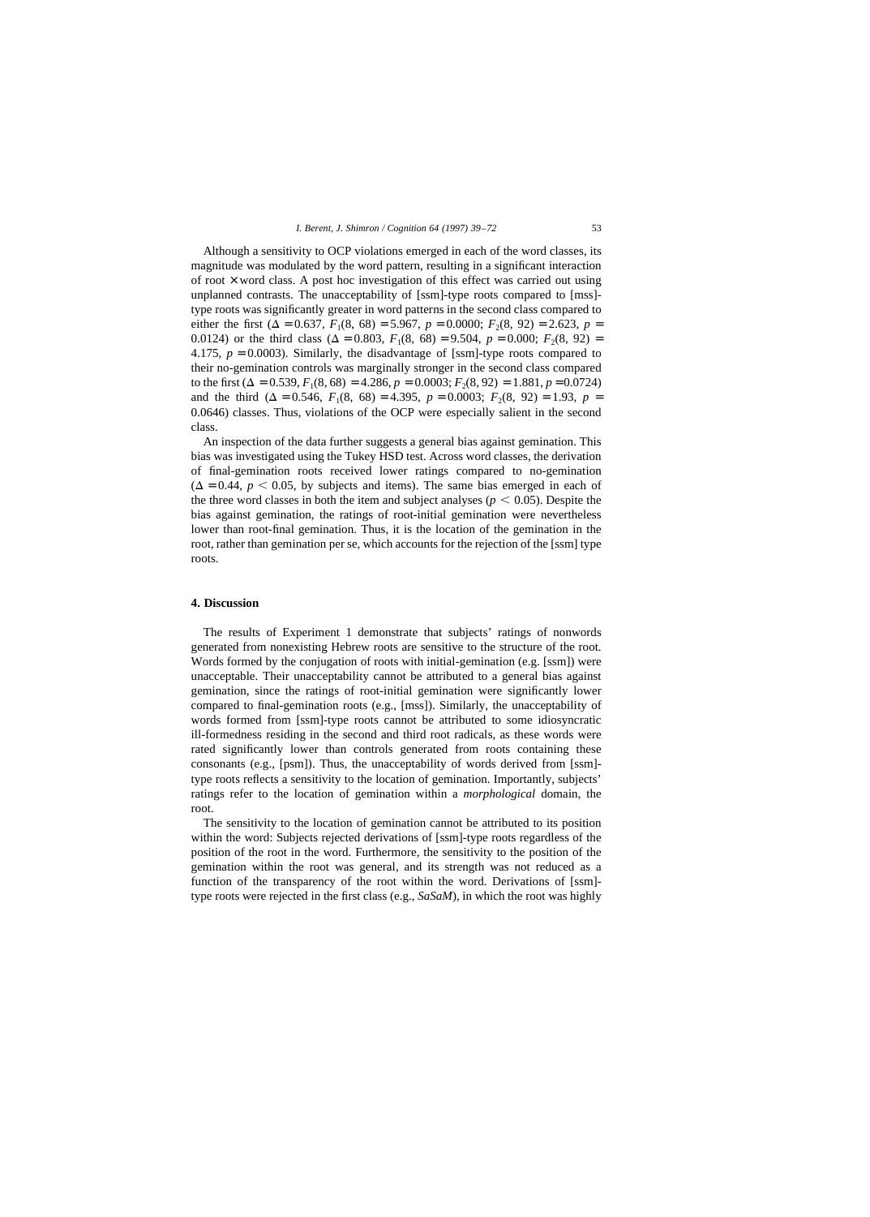Although a sensitivity to OCP violations emerged in each of the word classes, its magnitude was modulated by the word pattern, resulting in a significant interaction of root  $\times$  word class. A post hoc investigation of this effect was carried out using unplanned contrasts. The unacceptability of [ssm]-type roots compared to [mss] type roots was significantly greater in word patterns in the second class compared to either the first ( $\Delta = 0.637$ ,  $F_1(8, 68) = 5.967$ ,  $p = 0.0000$ ;  $F_2(8, 92) = 2.623$ ,  $p =$ 0.0124) or the third class ( $\Delta = 0.803$ ,  $F_1(8, 68) = 9.504$ ,  $p = 0.000$ ;  $F_2(8, 92) =$ 4.175,  $p = 0.0003$ ). Similarly, the disadvantage of [ssm]-type roots compared to their no-gemination controls was marginally stronger in the second class compared to the first ( $\Delta = 0.539$ ,  $F_1(8, 68) = 4.286$ ,  $p = 0.0003$ ;  $F_2(8, 92) = 1.881$ ,  $p = 0.0724$ ) and the third  $(\Delta = 0.546, F_1(8, 68) = 4.395, p = 0.0003; F_2(8, 92) = 1.93, p =$ 0.0646) classes. Thus, violations of the OCP were especially salient in the second class.

An inspection of the data further suggests a general bias against gemination. This bias was investigated using the Tukey HSD test. Across word classes, the derivation of final-gemination roots received lower ratings compared to no-gemination  $(\Delta = 0.44, p < 0.05,$  by subjects and items). The same bias emerged in each of the three word classes in both the item and subject analyses ( $p < 0.05$ ). Despite the bias against gemination, the ratings of root-initial gemination were nevertheless lower than root-final gemination. Thus, it is the location of the gemination in the root, rather than gemination per se, which accounts for the rejection of the [ssm] type roots.

### **4. Discussion**

The results of Experiment 1 demonstrate that subjects' ratings of nonwords generated from nonexisting Hebrew roots are sensitive to the structure of the root. Words formed by the conjugation of roots with initial-gemination (e.g. [ssm]) were unacceptable. Their unacceptability cannot be attributed to a general bias against gemination, since the ratings of root-initial gemination were significantly lower compared to final-gemination roots (e.g., [mss]). Similarly, the unacceptability of words formed from [ssm]-type roots cannot be attributed to some idiosyncratic ill-formedness residing in the second and third root radicals, as these words were rated significantly lower than controls generated from roots containing these consonants (e.g., [psm]). Thus, the unacceptability of words derived from [ssm] type roots reflects a sensitivity to the location of gemination. Importantly, subjects' ratings refer to the location of gemination within a *morphological* domain, the root.

The sensitivity to the location of gemination cannot be attributed to its position within the word: Subjects rejected derivations of [ssm]-type roots regardless of the position of the root in the word. Furthermore, the sensitivity to the position of the gemination within the root was general, and its strength was not reduced as a function of the transparency of the root within the word. Derivations of [ssm] type roots were rejected in the first class (e.g., *SaSaM*), in which the root was highly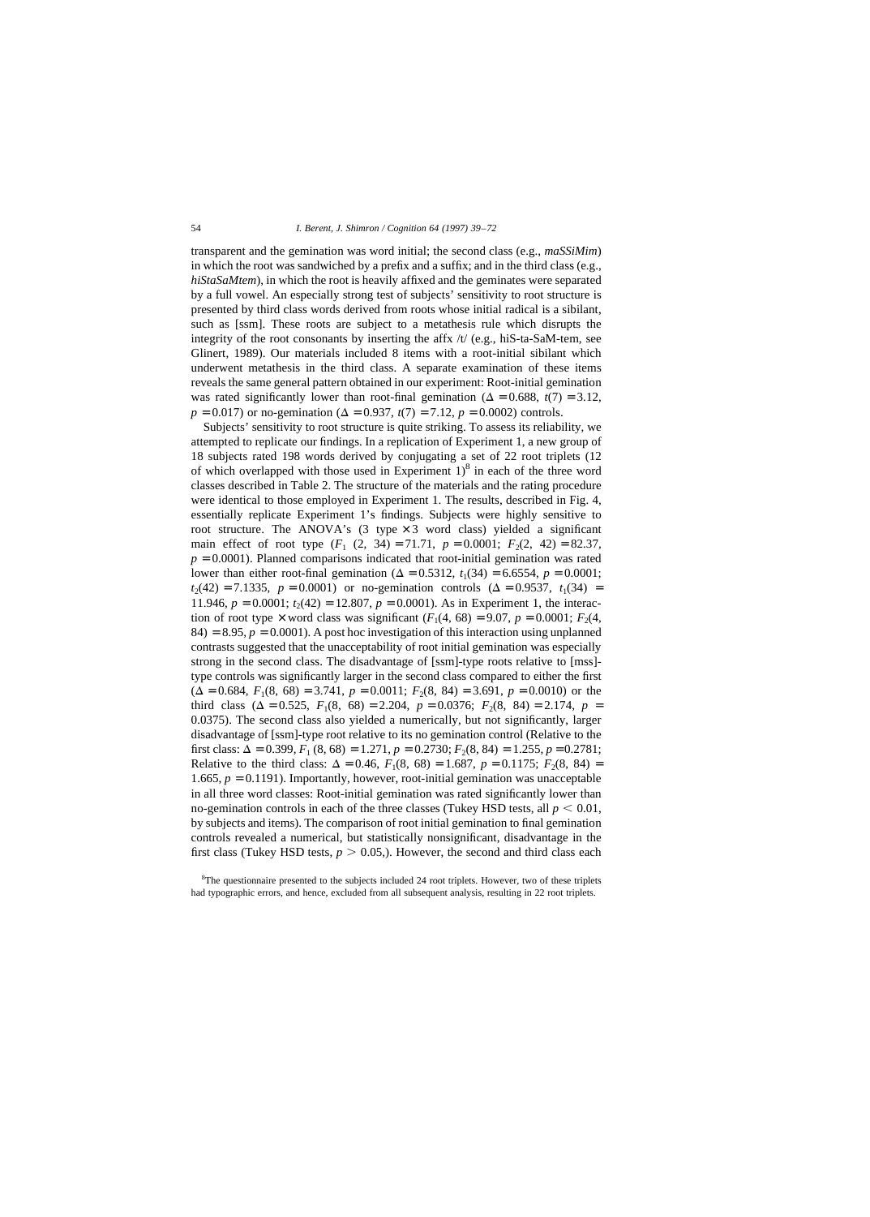transparent and the gemination was word initial; the second class (e.g., *maSSiMim*) in which the root was sandwiched by a prefix and a suffix; and in the third class (e.g., *hiStaSaMtem*), in which the root is heavily affixed and the geminates were separated by a full vowel. An especially strong test of subjects' sensitivity to root structure is presented by third class words derived from roots whose initial radical is a sibilant, such as [ssm]. These roots are subject to a metathesis rule which disrupts the integrity of the root consonants by inserting the affx  $/t$  (e.g., hiS-ta-SaM-tem, see Glinert, 1989). Our materials included 8 items with a root-initial sibilant which underwent metathesis in the third class. A separate examination of these items reveals the same general pattern obtained in our experiment: Root-initial gemination was rated significantly lower than root-final gemination ( $\Delta = 0.688$ ,  $t(7) = 3.12$ ,  $p = 0.017$  or no-gemination ( $\Delta = 0.937$ ,  $t(7) = 7.12$ ,  $p = 0.0002$ ) controls.

Subjects' sensitivity to root structure is quite striking. To assess its reliability, we attempted to replicate our findings. In a replication of Experiment 1, a new group of 18 subjects rated 198 words derived by conjugating a set of 22 root triplets (12 of which overlapped with those used in Experiment  $1<sup>8</sup>$  in each of the three word classes described in Table 2. The structure of the materials and the rating procedure were identical to those employed in Experiment 1. The results, described in Fig. 4, essentially replicate Experiment 1's findings. Subjects were highly sensitive to root structure. The ANOVA's  $(3 \text{ type} \times 3 \text{ word class})$  yielded a significant main effect of root type  $(F_1 \ (2, 34) = 71.71, p = 0.0001; F_2(2, 42) = 82.37,$  $p = 0.0001$ ). Planned comparisons indicated that root-initial gemination was rated lower than either root-final gemination ( $\Delta = 0.5312$ ,  $t_1(34) = 6.6554$ ,  $p = 0.0001$ ;  $t_2(42) = 7.1335$ ,  $p = 0.0001$ ) or no-gemination controls ( $\Delta = 0.9537$ ,  $t_1(34) =$ 11.946,  $p = 0.0001$ ;  $t_2(42) = 12.807$ ,  $p = 0.0001$ ). As in Experiment 1, the interaction of root type  $\times$  word class was significant  $(F_1(4, 68) = 9.07, p = 0.0001; F_2(4, 68))$  $84$ ) = 8.95,  $p = 0.0001$ ). A post hoc investigation of this interaction using unplanned contrasts suggested that the unacceptability of root initial gemination was especially strong in the second class. The disadvantage of [ssm]-type roots relative to [mss] type controls was significantly larger in the second class compared to either the first  $(\Delta = 0.684, F_1(8, 68) = 3.741, p = 0.0011; F_2(8, 84) = 3.691, p = 0.0010$  or the third class  $(\Delta = 0.525, F_1(8, 68) = 2.204, p = 0.0376, F_2(8, 84) = 2.174, p =$ 0.0375). The second class also yielded a numerically, but not significantly, larger disadvantage of [ssm]-type root relative to its no gemination control (Relative to the first class:  $\Delta = 0.399$ ,  $F_1$  (8, 68) = 1.271,  $p = 0.2730$ ;  $F_2$ (8, 84) = 1.255,  $p = 0.2781$ ; Relative to the third class:  $\Delta = 0.46$ ,  $F_1(8, 68) = 1.687$ ,  $p = 0.1175$ ;  $F_2(8, 84) =$ 1.665,  $p = 0.1191$ ). Importantly, however, root-initial gemination was unacceptable in all three word classes: Root-initial gemination was rated significantly lower than no-gemination controls in each of the three classes (Tukey HSD tests, all  $p < 0.01$ , by subjects and items). The comparison of root initial gemination to final gemination controls revealed a numerical, but statistically nonsignificant, disadvantage in the first class (Tukey HSD tests,  $p > 0.05$ ). However, the second and third class each

<sup>&</sup>lt;sup>8</sup>The questionnaire presented to the subjects included 24 root triplets. However, two of these triplets had typographic errors, and hence, excluded from all subsequent analysis, resulting in 22 root triplets.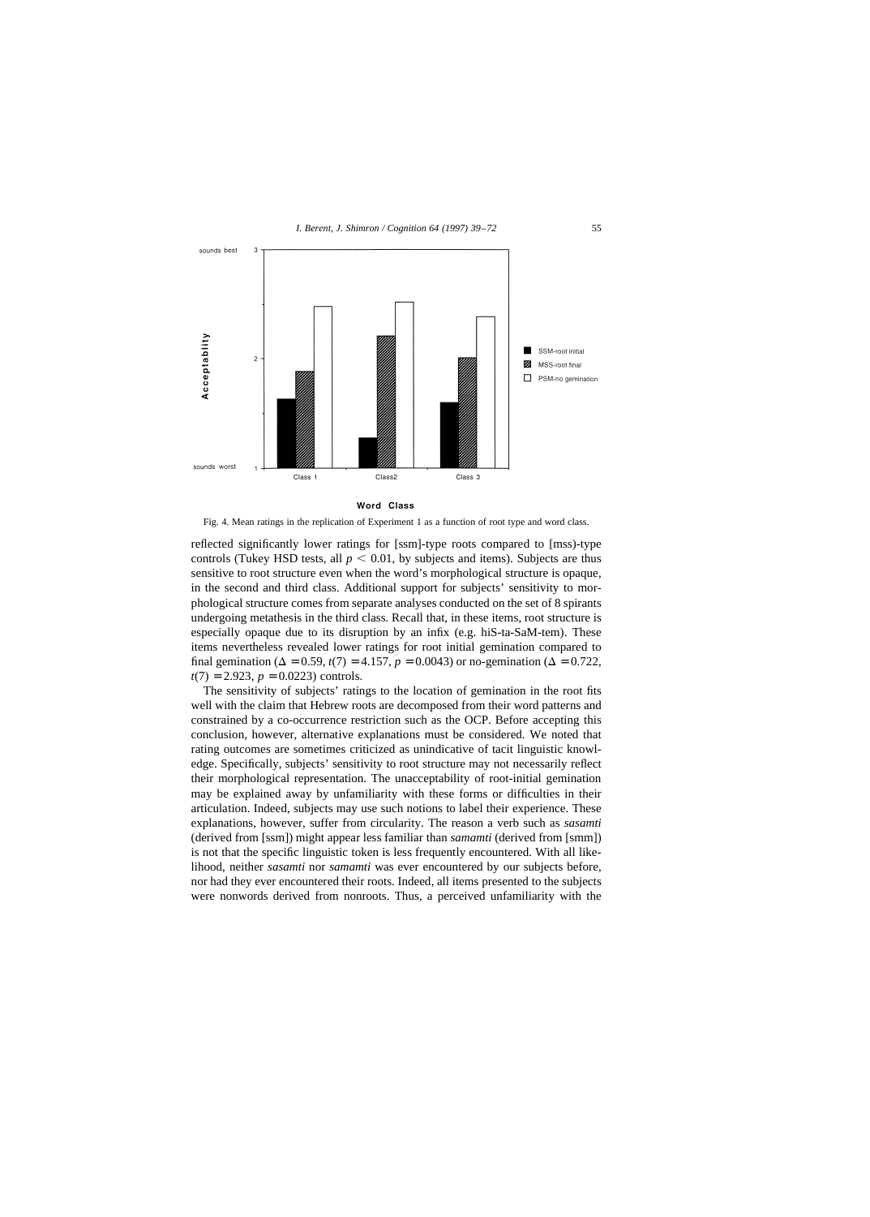



Fig. 4. Mean ratings in the replication of Experiment 1 as a function of root type and word class.

reflected significantly lower ratings for [ssm]-type roots compared to [mss)-type controls (Tukey HSD tests, all  $p < 0.01$ , by subjects and items). Subjects are thus sensitive to root structure even when the word's morphological structure is opaque, in the second and third class. Additional support for subjects' sensitivity to morphological structure comes from separate analyses conducted on the set of 8 spirants undergoing metathesis in the third class. Recall that, in these items, root structure is especially opaque due to its disruption by an infix (e.g. hiS-ta-SaM-tem). These items nevertheless revealed lower ratings for root initial gemination compared to final gemination ( $\Delta = 0.59$ ,  $t(7) = 4.157$ ,  $p = 0.0043$ ) or no-gemination ( $\Delta = 0.722$ ,  $t(7) = 2.923$ ,  $p = 0.0223$ ) controls.

The sensitivity of subjects' ratings to the location of gemination in the root fits well with the claim that Hebrew roots are decomposed from their word patterns and constrained by a co-occurrence restriction such as the OCP. Before accepting this conclusion, however, alternative explanations must be considered. We noted that rating outcomes are sometimes criticized as unindicative of tacit linguistic knowledge. Specifically, subjects' sensitivity to root structure may not necessarily reflect their morphological representation. The unacceptability of root-initial gemination may be explained away by unfamiliarity with these forms or difficulties in their articulation. Indeed, subjects may use such notions to label their experience. These explanations, however, suffer from circularity. The reason a verb such as *sasamti* (derived from [ssm]) might appear less familiar than *samamti* (derived from [smm]) is not that the specific linguistic token is less frequently encountered. With all likelihood, neither *sasamti* nor *samamti* was ever encountered by our subjects before, nor had they ever encountered their roots. Indeed, all items presented to the subjects were nonwords derived from nonroots. Thus, a perceived unfamiliarity with the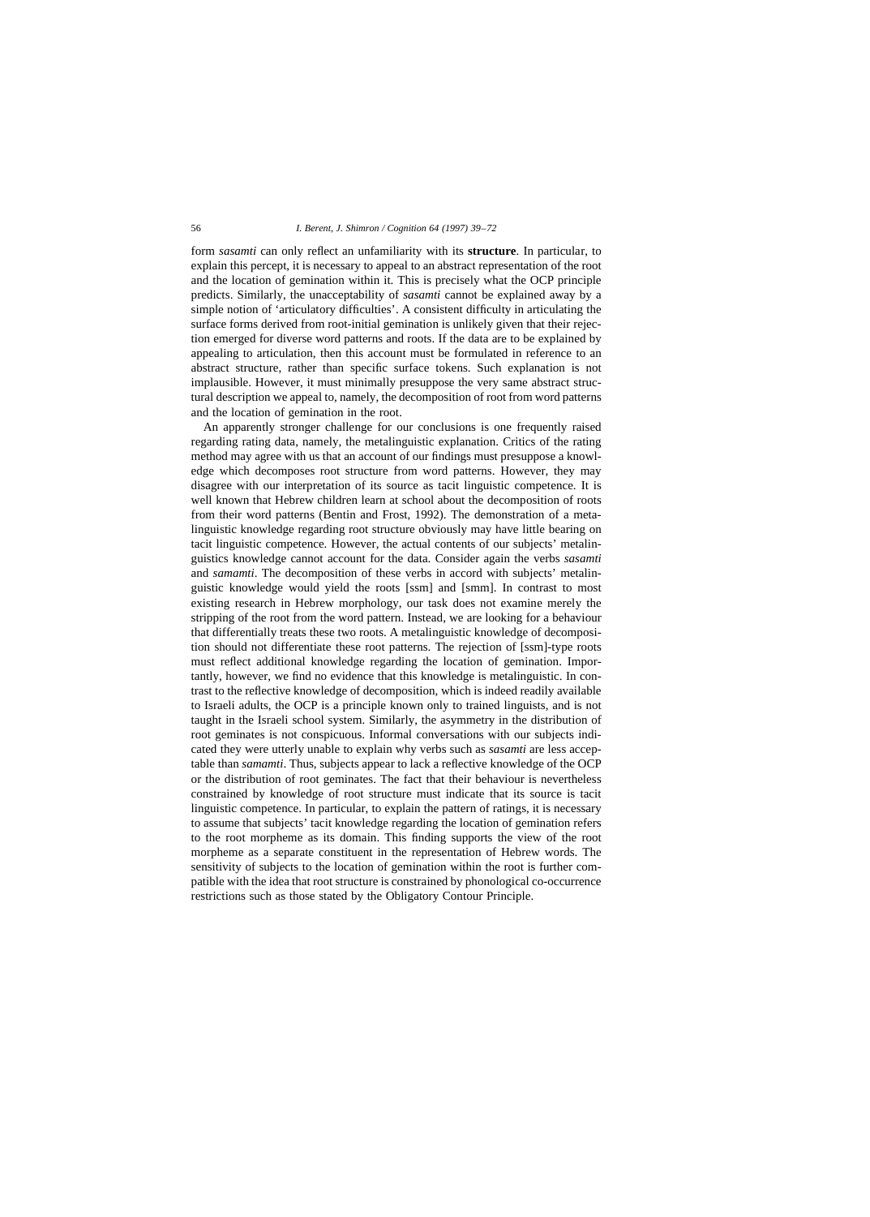form *sasamti* can only reflect an unfamiliarity with its **structure**. In particular, to explain this percept, it is necessary to appeal to an abstract representation of the root and the location of gemination within it. This is precisely what the OCP principle predicts. Similarly, the unacceptability of *sasamti* cannot be explained away by a simple notion of 'articulatory difficulties'. A consistent difficulty in articulating the surface forms derived from root-initial gemination is unlikely given that their rejection emerged for diverse word patterns and roots. If the data are to be explained by appealing to articulation, then this account must be formulated in reference to an abstract structure, rather than specific surface tokens. Such explanation is not implausible. However, it must minimally presuppose the very same abstract structural description we appeal to, namely, the decomposition of root from word patterns and the location of gemination in the root.

An apparently stronger challenge for our conclusions is one frequently raised regarding rating data, namely, the metalinguistic explanation. Critics of the rating method may agree with us that an account of our findings must presuppose a knowledge which decomposes root structure from word patterns. However, they may disagree with our interpretation of its source as tacit linguistic competence. It is well known that Hebrew children learn at school about the decomposition of roots from their word patterns (Bentin and Frost, 1992). The demonstration of a metalinguistic knowledge regarding root structure obviously may have little bearing on tacit linguistic competence. However, the actual contents of our subjects' metalinguistics knowledge cannot account for the data. Consider again the verbs *sasamti* and *samamti*. The decomposition of these verbs in accord with subjects' metalinguistic knowledge would yield the roots [ssm] and [smm]. In contrast to most existing research in Hebrew morphology, our task does not examine merely the stripping of the root from the word pattern. Instead, we are looking for a behaviour that differentially treats these two roots. A metalinguistic knowledge of decomposition should not differentiate these root patterns. The rejection of [ssm]-type roots must reflect additional knowledge regarding the location of gemination. Importantly, however, we find no evidence that this knowledge is metalinguistic. In contrast to the reflective knowledge of decomposition, which is indeed readily available to Israeli adults, the OCP is a principle known only to trained linguists, and is not taught in the Israeli school system. Similarly, the asymmetry in the distribution of root geminates is not conspicuous. Informal conversations with our subjects indicated they were utterly unable to explain why verbs such as *sasamti* are less acceptable than *samamti*. Thus, subjects appear to lack a reflective knowledge of the OCP or the distribution of root geminates. The fact that their behaviour is nevertheless constrained by knowledge of root structure must indicate that its source is tacit linguistic competence. In particular, to explain the pattern of ratings, it is necessary to assume that subjects' tacit knowledge regarding the location of gemination refers to the root morpheme as its domain. This finding supports the view of the root morpheme as a separate constituent in the representation of Hebrew words. The sensitivity of subjects to the location of gemination within the root is further compatible with the idea that root structure is constrained by phonological co-occurrence restrictions such as those stated by the Obligatory Contour Principle.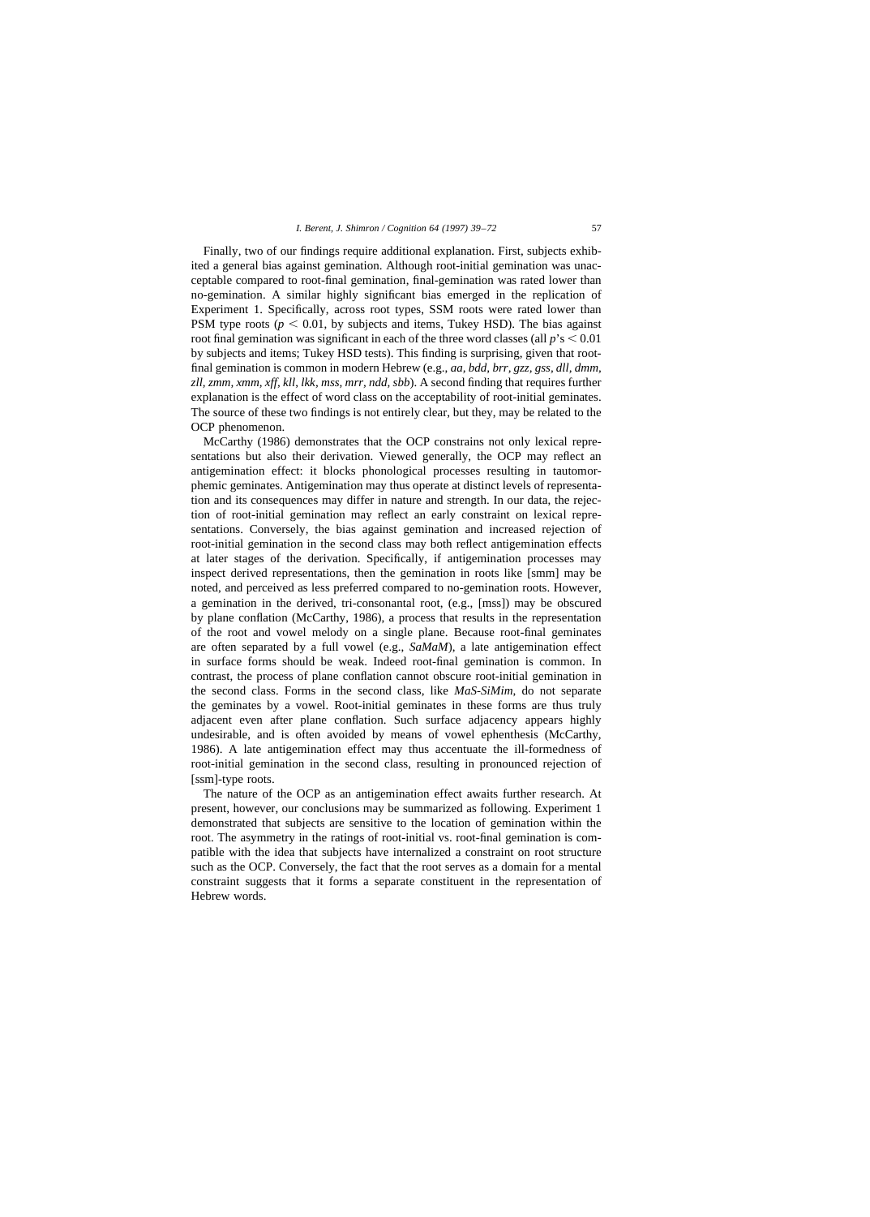Finally, two of our findings require additional explanation. First, subjects exhibited a general bias against gemination. Although root-initial gemination was unacceptable compared to root-final gemination, final-gemination was rated lower than no-gemination. A similar highly significant bias emerged in the replication of Experiment 1. Specifically, across root types, SSM roots were rated lower than PSM type roots ( $p < 0.01$ , by subjects and items, Tukey HSD). The bias against root final gemination was significant in each of the three word classes (all  $p$ 's  $\leq 0.01$ ) by subjects and items; Tukey HSD tests). This finding is surprising, given that rootfinal gemination is common in modern Hebrew (e.g., *aa, bdd, brr, gzz, gss, dll, dmm, zll, zmm, xmm, xff, kll*, *lkk, mss, mrr, ndd, sbb*). A second finding that requires further explanation is the effect of word class on the acceptability of root-initial geminates. The source of these two findings is not entirely clear, but they, may be related to the OCP phenomenon.

McCarthy (1986) demonstrates that the OCP constrains not only lexical representations but also their derivation. Viewed generally, the OCP may reflect an antigemination effect: it blocks phonological processes resulting in tautomorphemic geminates. Antigemination may thus operate at distinct levels of representation and its consequences may differ in nature and strength. In our data, the rejection of root-initial gemination may reflect an early constraint on lexical representations. Conversely, the bias against gemination and increased rejection of root-initial gemination in the second class may both reflect antigemination effects at later stages of the derivation. Specifically, if antigemination processes may inspect derived representations, then the gemination in roots like [smm] may be noted, and perceived as less preferred compared to no-gemination roots. However, a gemination in the derived, tri-consonantal root, (e.g., [mss]) may be obscured by plane conflation (McCarthy, 1986), a process that results in the representation of the root and vowel melody on a single plane. Because root-final geminates are often separated by a full vowel (e.g., *SaMaM*), a late antigemination effect in surface forms should be weak. Indeed root-final gemination is common. In contrast, the process of plane conflation cannot obscure root-initial gemination in the second class. Forms in the second class, like *MaS-SiMim*, do not separate the geminates by a vowel. Root-initial geminates in these forms are thus truly adjacent even after plane conflation. Such surface adjacency appears highly undesirable, and is often avoided by means of vowel ephenthesis (McCarthy, 1986). A late antigemination effect may thus accentuate the ill-formedness of root-initial gemination in the second class, resulting in pronounced rejection of [ssm]-type roots.

The nature of the OCP as an antigemination effect awaits further research. At present, however, our conclusions may be summarized as following. Experiment 1 demonstrated that subjects are sensitive to the location of gemination within the root. The asymmetry in the ratings of root-initial vs. root-final gemination is compatible with the idea that subjects have internalized a constraint on root structure such as the OCP. Conversely, the fact that the root serves as a domain for a mental constraint suggests that it forms a separate constituent in the representation of Hebrew words.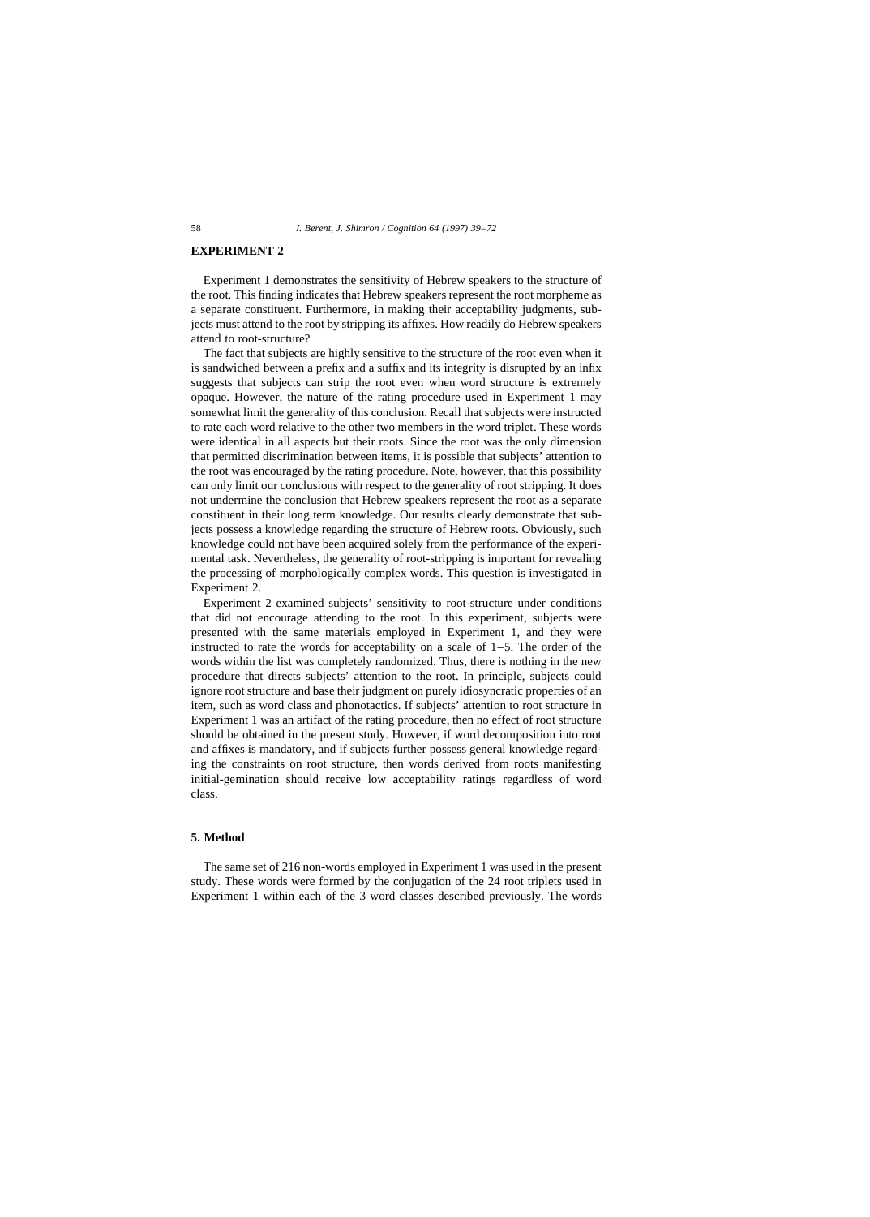# **EXPERIMENT 2**

Experiment 1 demonstrates the sensitivity of Hebrew speakers to the structure of the root. This finding indicates that Hebrew speakers represent the root morpheme as a separate constituent. Furthermore, in making their acceptability judgments, subjects must attend to the root by stripping its affixes. How readily do Hebrew speakers attend to root-structure?

The fact that subjects are highly sensitive to the structure of the root even when it is sandwiched between a prefix and a suffix and its integrity is disrupted by an infix suggests that subjects can strip the root even when word structure is extremely opaque. However, the nature of the rating procedure used in Experiment 1 may somewhat limit the generality of this conclusion. Recall that subjects were instructed to rate each word relative to the other two members in the word triplet. These words were identical in all aspects but their roots. Since the root was the only dimension that permitted discrimination between items, it is possible that subjects' attention to the root was encouraged by the rating procedure. Note, however, that this possibility can only limit our conclusions with respect to the generality of root stripping. It does not undermine the conclusion that Hebrew speakers represent the root as a separate constituent in their long term knowledge. Our results clearly demonstrate that subjects possess a knowledge regarding the structure of Hebrew roots. Obviously, such knowledge could not have been acquired solely from the performance of the experimental task. Nevertheless, the generality of root-stripping is important for revealing the processing of morphologically complex words. This question is investigated in Experiment 2.

Experiment 2 examined subjects' sensitivity to root-structure under conditions that did not encourage attending to the root. In this experiment, subjects were presented with the same materials employed in Experiment 1, and they were instructed to rate the words for acceptability on a scale of 1–5. The order of the words within the list was completely randomized. Thus, there is nothing in the new procedure that directs subjects' attention to the root. In principle, subjects could ignore root structure and base their judgment on purely idiosyncratic properties of an item, such as word class and phonotactics. If subjects' attention to root structure in Experiment 1 was an artifact of the rating procedure, then no effect of root structure should be obtained in the present study. However, if word decomposition into root and affixes is mandatory, and if subjects further possess general knowledge regarding the constraints on root structure, then words derived from roots manifesting initial-gemination should receive low acceptability ratings regardless of word class.

# **5. Method**

The same set of 216 non-words employed in Experiment 1 was used in the present study. These words were formed by the conjugation of the 24 root triplets used in Experiment 1 within each of the 3 word classes described previously. The words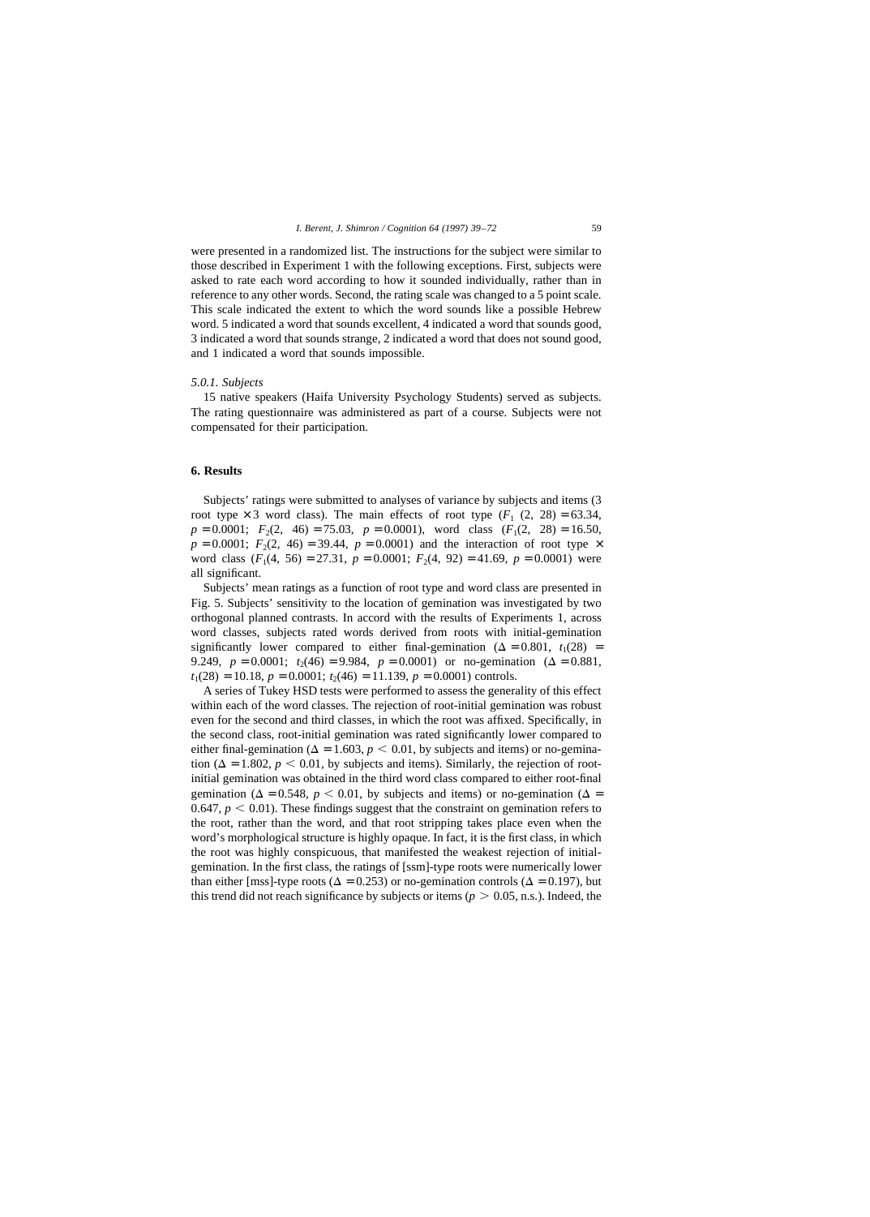were presented in a randomized list. The instructions for the subject were similar to those described in Experiment 1 with the following exceptions. First, subjects were asked to rate each word according to how it sounded individually, rather than in reference to any other words. Second, the rating scale was changed to a 5 point scale. This scale indicated the extent to which the word sounds like a possible Hebrew word. 5 indicated a word that sounds excellent, 4 indicated a word that sounds good, 3 indicated a word that sounds strange, 2 indicated a word that does not sound good, and 1 indicated a word that sounds impossible.

### *5.0.1. Subjects*

15 native speakers (Haifa University Psychology Students) served as subjects. The rating questionnaire was administered as part of a course. Subjects were not compensated for their participation.

### **6. Results**

Subjects' ratings were submitted to analyses of variance by subjects and items (3 root type  $\times$  3 word class). The main effects of root type  $(F_1 \ (2, 28) = 63.34,$  $p = 0.0001$ ;  $F_2(2, 46) = 75.03$ ,  $p = 0.0001$ ), word class  $(F_1(2, 28) = 16.50$ ,  $p = 0.0001$ ;  $F_2(2, 46) = 39.44$ ,  $p = 0.0001$ ) and the interaction of root type  $\times$ word class  $(F_1(4, 56) = 27.31, p = 0.0001; F_2(4, 92) = 41.69, p = 0.0001$  were all significant.

Subjects' mean ratings as a function of root type and word class are presented in Fig. 5. Subjects' sensitivity to the location of gemination was investigated by two orthogonal planned contrasts. In accord with the results of Experiments 1, across word classes, subjects rated words derived from roots with initial-gemination significantly lower compared to either final-gemination ( $\Delta = 0.801$ ,  $t_1(28)$  = 9.249,  $p = 0.0001$ ;  $t_2(46) = 9.984$ ,  $p = 0.0001$ ) or no-gemination ( $\Delta = 0.881$ ,  $t_1(28) = 10.18$ ,  $p = 0.0001$ ;  $t_2(46) = 11.139$ ,  $p = 0.0001$ ) controls.

A series of Tukey HSD tests were performed to assess the generality of this effect within each of the word classes. The rejection of root-initial gemination was robust even for the second and third classes, in which the root was affixed. Specifically, in the second class, root-initial gemination was rated significantly lower compared to either final-gemination ( $\Delta = 1.603$ ,  $p < 0.01$ , by subjects and items) or no-gemination ( $\Delta = 1.802$ ,  $p < 0.01$ , by subjects and items). Similarly, the rejection of rootinitial gemination was obtained in the third word class compared to either root-final gemination ( $\Delta = 0.548$ ,  $p < 0.01$ , by subjects and items) or no-gemination ( $\Delta =$  $0.647, p \leq 0.01$ ). These findings suggest that the constraint on gemination refers to the root, rather than the word, and that root stripping takes place even when the word's morphological structure is highly opaque. In fact, it is the first class, in which the root was highly conspicuous, that manifested the weakest rejection of initialgemination. In the first class, the ratings of [ssm]-type roots were numerically lower than either [mss]-type roots ( $\Delta = 0.253$ ) or no-gemination controls ( $\Delta = 0.197$ ), but this trend did not reach significance by subjects or items ( $p > 0.05$ , n.s.). Indeed, the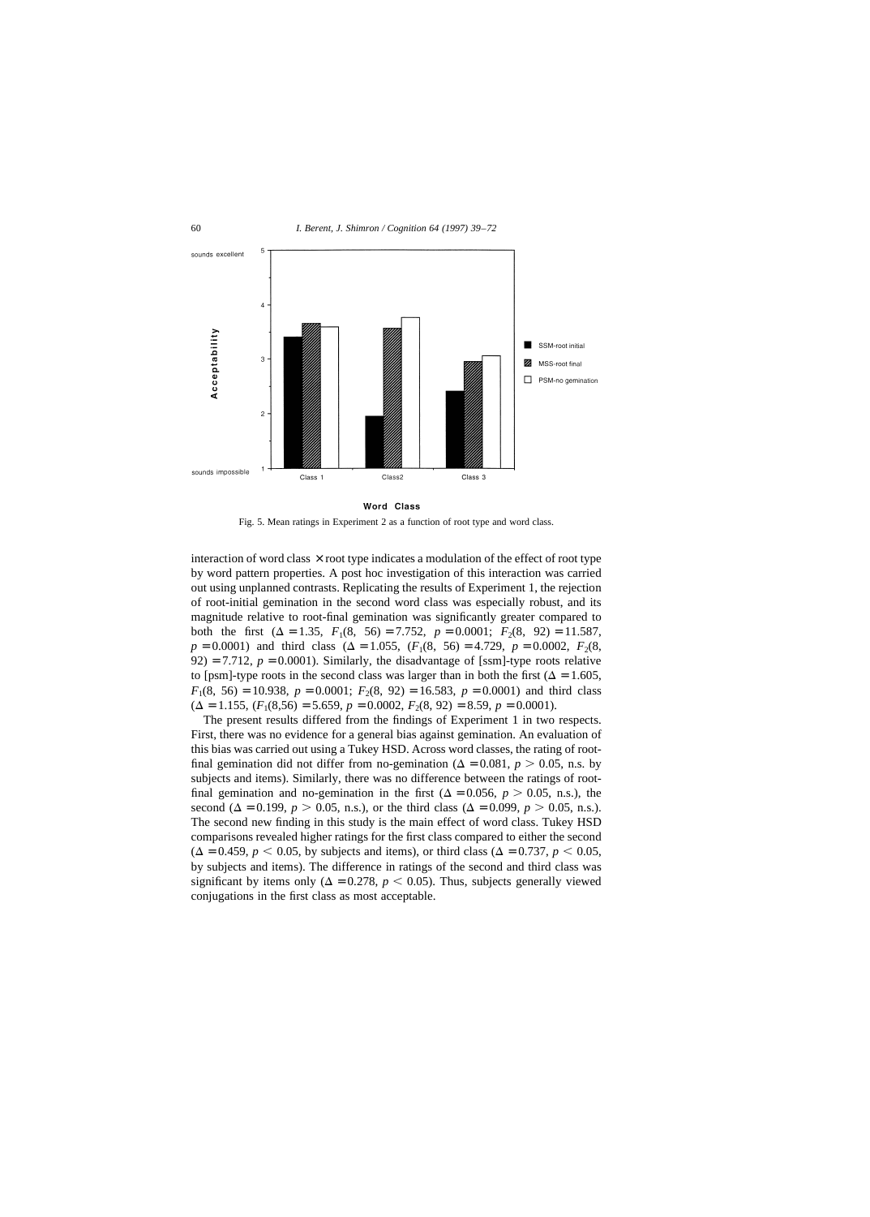



Fig. 5. Mean ratings in Experiment 2 as a function of root type and word class.

interaction of word class  $\times$  root type indicates a modulation of the effect of root type by word pattern properties. A post hoc investigation of this interaction was carried out using unplanned contrasts. Replicating the results of Experiment 1, the rejection of root-initial gemination in the second word class was especially robust, and its magnitude relative to root-final gemination was significantly greater compared to both the first  $(\Delta = 1.35, F_1(8, 56) = 7.752, p = 0.0001; F_2(8, 92) = 11.587,$  $p = 0.0001$ ) and third class ( $\Delta = 1.055$ , ( $F_1(8, 56) = 4.729$ ,  $p = 0.0002$ ,  $F_2(8, 56)$  $92$ ) = 7.712,  $p = 0.0001$ ). Similarly, the disadvantage of [ssm]-type roots relative to [psm]-type roots in the second class was larger than in both the first ( $\Delta = 1.605$ ,  $F_1(8, 56) = 10.938$ ,  $p = 0.0001$ ;  $F_2(8, 92) = 16.583$ ,  $p = 0.0001$ ) and third class  $(\Delta = 1.155, (F_1(8,56) = 5.659, p = 0.0002, F_2(8, 92) = 8.59, p = 0.0001).$ 

The present results differed from the findings of Experiment 1 in two respects. First, there was no evidence for a general bias against gemination. An evaluation of this bias was carried out using a Tukey HSD. Across word classes, the rating of rootfinal gemination did not differ from no-gemination ( $\Delta = 0.081$ ,  $p > 0.05$ , n.s. by subjects and items). Similarly, there was no difference between the ratings of rootfinal gemination and no-gemination in the first ( $\Delta = 0.056$ ,  $p > 0.05$ , n.s.), the second ( $\Delta = 0.199$ ,  $p > 0.05$ , n.s.), or the third class ( $\Delta = 0.099$ ,  $p > 0.05$ , n.s.). The second new finding in this study is the main effect of word class. Tukey HSD comparisons revealed higher ratings for the first class compared to either the second  $(\Delta = 0.459, p < 0.05,$  by subjects and items), or third class ( $\Delta = 0.737, p < 0.05,$ by subjects and items). The difference in ratings of the second and third class was significant by items only ( $\Delta = 0.278$ ,  $p < 0.05$ ). Thus, subjects generally viewed conjugations in the first class as most acceptable.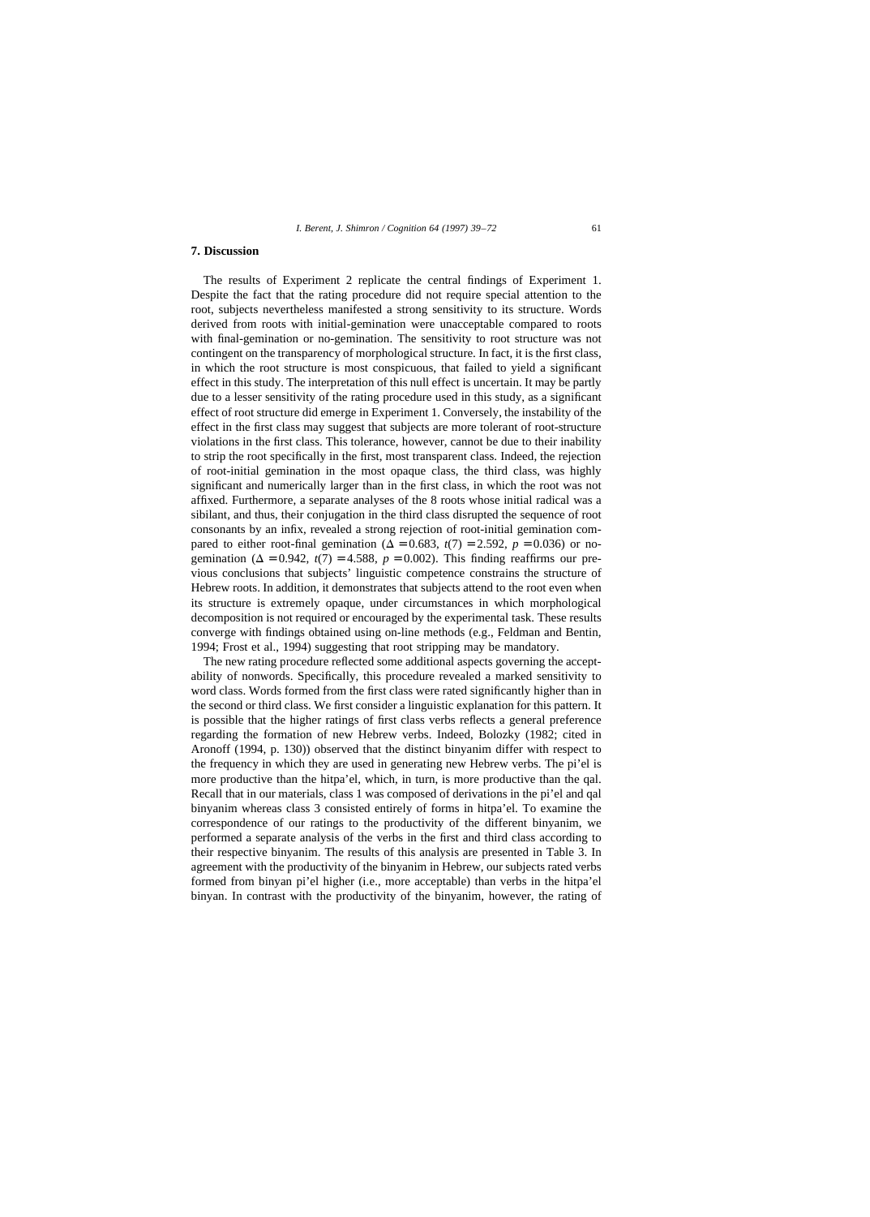# **7. Discussion**

The results of Experiment 2 replicate the central findings of Experiment 1. Despite the fact that the rating procedure did not require special attention to the root, subjects nevertheless manifested a strong sensitivity to its structure. Words derived from roots with initial-gemination were unacceptable compared to roots with final-gemination or no-gemination. The sensitivity to root structure was not contingent on the transparency of morphological structure. In fact, it is the first class, in which the root structure is most conspicuous, that failed to yield a significant effect in this study. The interpretation of this null effect is uncertain. It may be partly due to a lesser sensitivity of the rating procedure used in this study, as a significant effect of root structure did emerge in Experiment 1. Conversely, the instability of the effect in the first class may suggest that subjects are more tolerant of root-structure violations in the first class. This tolerance, however, cannot be due to their inability to strip the root specifically in the first, most transparent class. Indeed, the rejection of root-initial gemination in the most opaque class, the third class, was highly significant and numerically larger than in the first class, in which the root was not affixed. Furthermore, a separate analyses of the 8 roots whose initial radical was a sibilant, and thus, their conjugation in the third class disrupted the sequence of root consonants by an infix, revealed a strong rejection of root-initial gemination compared to either root-final gemination ( $\Delta = 0.683$ ,  $t(7) = 2.592$ ,  $p = 0.036$ ) or nogemination ( $\Delta = 0.942$ ,  $t(7) = 4.588$ ,  $p = 0.002$ ). This finding reaffirms our previous conclusions that subjects' linguistic competence constrains the structure of Hebrew roots. In addition, it demonstrates that subjects attend to the root even when its structure is extremely opaque, under circumstances in which morphological decomposition is not required or encouraged by the experimental task. These results converge with findings obtained using on-line methods (e.g., Feldman and Bentin, 1994; Frost et al., 1994) suggesting that root stripping may be mandatory.

The new rating procedure reflected some additional aspects governing the acceptability of nonwords. Specifically, this procedure revealed a marked sensitivity to word class. Words formed from the first class were rated significantly higher than in the second or third class. We first consider a linguistic explanation for this pattern. It is possible that the higher ratings of first class verbs reflects a general preference regarding the formation of new Hebrew verbs. Indeed, Bolozky (1982; cited in Aronoff (1994, p. 130)) observed that the distinct binyanim differ with respect to the frequency in which they are used in generating new Hebrew verbs. The pi'el is more productive than the hitpa'el, which, in turn, is more productive than the qal. Recall that in our materials, class 1 was composed of derivations in the pi'el and qal binyanim whereas class 3 consisted entirely of forms in hitpa'el. To examine the correspondence of our ratings to the productivity of the different binyanim, we performed a separate analysis of the verbs in the first and third class according to their respective binyanim. The results of this analysis are presented in Table 3. In agreement with the productivity of the binyanim in Hebrew, our subjects rated verbs formed from binyan pi'el higher (i.e., more acceptable) than verbs in the hitpa'el binyan. In contrast with the productivity of the binyanim, however, the rating of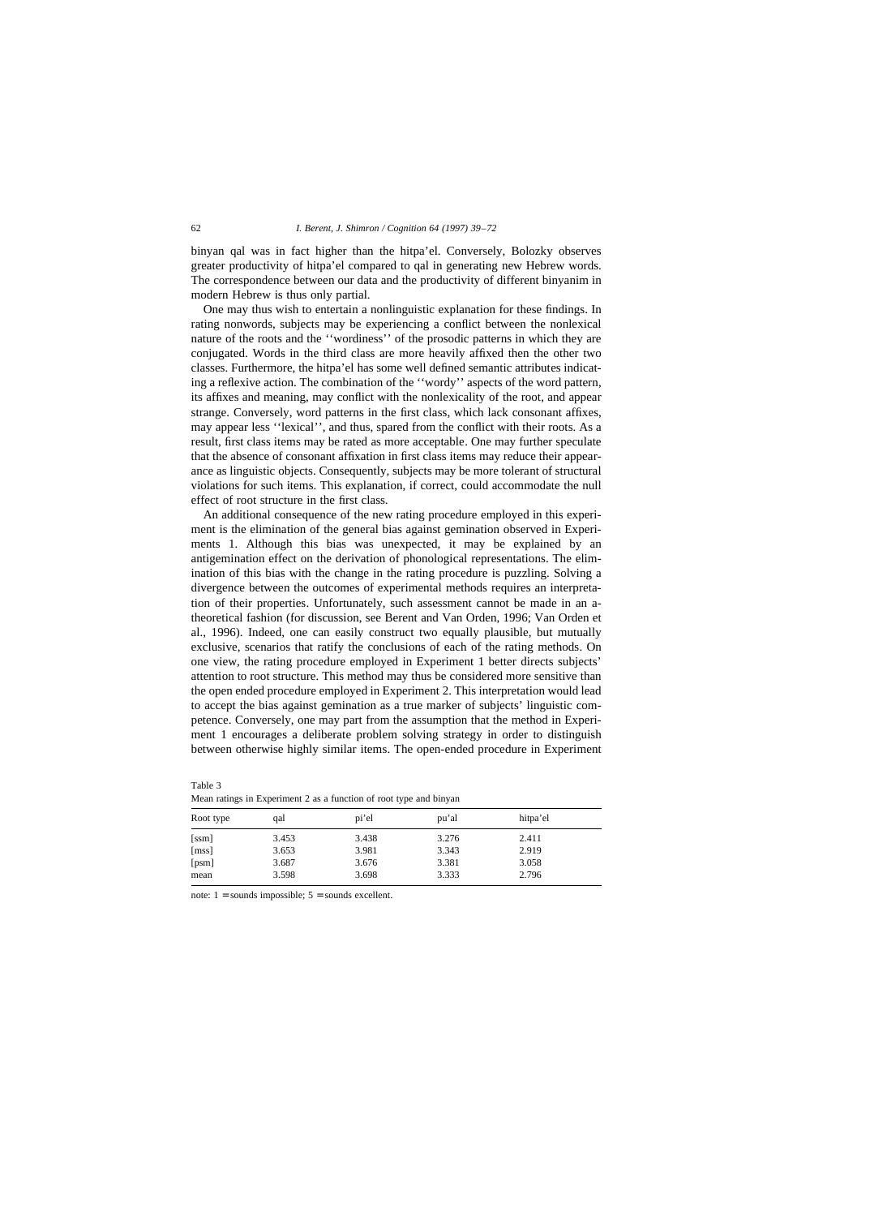binyan qal was in fact higher than the hitpa'el. Conversely, Bolozky observes greater productivity of hitpa'el compared to qal in generating new Hebrew words. The correspondence between our data and the productivity of different binyanim in modern Hebrew is thus only partial.

One may thus wish to entertain a nonlinguistic explanation for these findings. In rating nonwords, subjects may be experiencing a conflict between the nonlexical nature of the roots and the ''wordiness'' of the prosodic patterns in which they are conjugated. Words in the third class are more heavily affixed then the other two classes. Furthermore, the hitpa'el has some well defined semantic attributes indicating a reflexive action. The combination of the ''wordy'' aspects of the word pattern, its affixes and meaning, may conflict with the nonlexicality of the root, and appear strange. Conversely, word patterns in the first class, which lack consonant affixes, may appear less ''lexical'', and thus, spared from the conflict with their roots. As a result, first class items may be rated as more acceptable. One may further speculate that the absence of consonant affixation in first class items may reduce their appearance as linguistic objects. Consequently, subjects may be more tolerant of structural violations for such items. This explanation, if correct, could accommodate the null effect of root structure in the first class.

An additional consequence of the new rating procedure employed in this experiment is the elimination of the general bias against gemination observed in Experiments 1. Although this bias was unexpected, it may be explained by an antigemination effect on the derivation of phonological representations. The elimination of this bias with the change in the rating procedure is puzzling. Solving a divergence between the outcomes of experimental methods requires an interpretation of their properties. Unfortunately, such assessment cannot be made in an atheoretical fashion (for discussion, see Berent and Van Orden, 1996; Van Orden et al., 1996). Indeed, one can easily construct two equally plausible, but mutually exclusive, scenarios that ratify the conclusions of each of the rating methods. On one view, the rating procedure employed in Experiment 1 better directs subjects' attention to root structure. This method may thus be considered more sensitive than the open ended procedure employed in Experiment 2. This interpretation would lead to accept the bias against gemination as a true marker of subjects' linguistic competence. Conversely, one may part from the assumption that the method in Experiment 1 encourages a deliberate problem solving strategy in order to distinguish between otherwise highly similar items. The open-ended procedure in Experiment

| ້         |       | . .   |       |          |  |
|-----------|-------|-------|-------|----------|--|
| Root type | qal   | pi'el | pu'al | hitpa'el |  |
| [ssm]     | 3.453 | 3.438 | 3.276 | 2.411    |  |
| [mss]     | 3.653 | 3.981 | 3.343 | 2.919    |  |
| [psm]     | 3.687 | 3.676 | 3.381 | 3.058    |  |
| mean      | 3.598 | 3.698 | 3.333 | 2.796    |  |

Table 3 Mean ratings in Experiment 2 as a function of root type and binyan

note:  $1 =$  sounds impossible;  $5 =$  sounds excellent.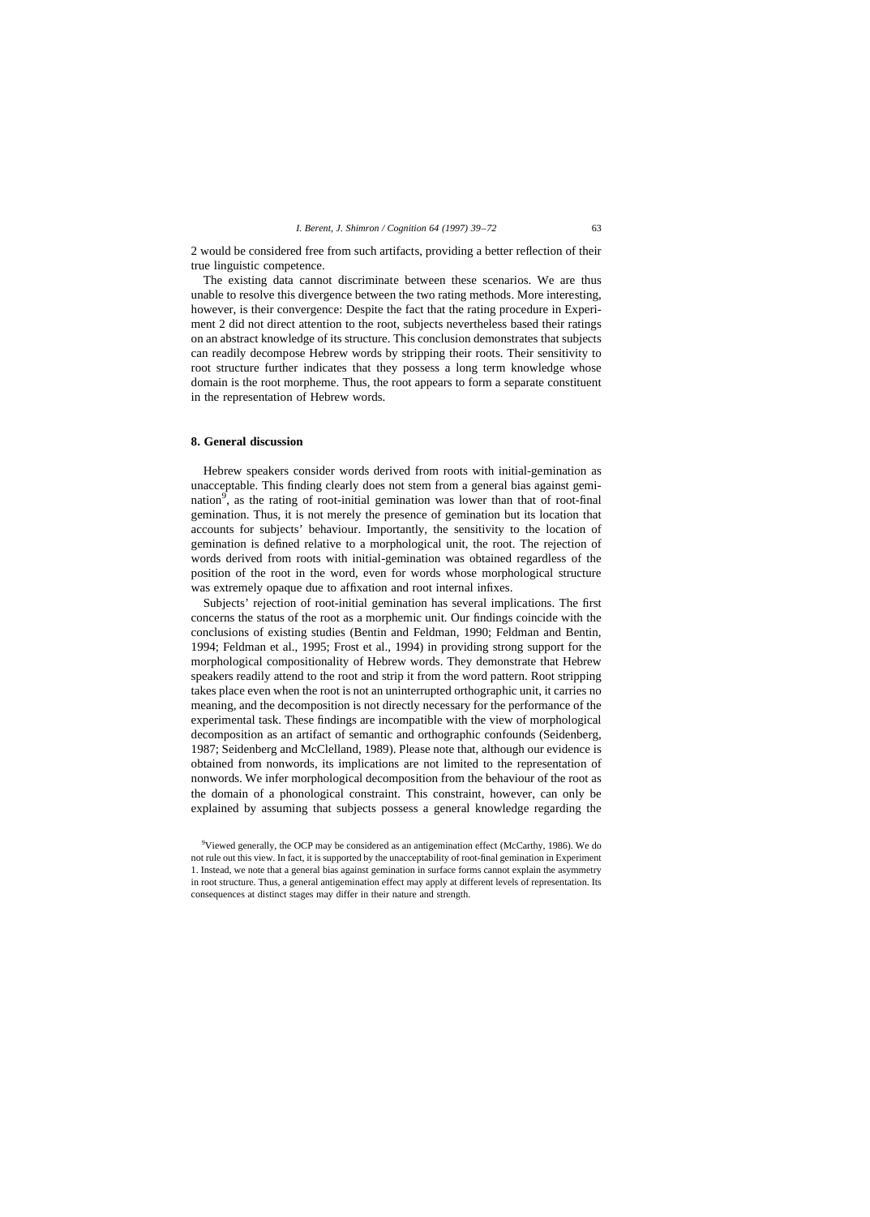2 would be considered free from such artifacts, providing a better reflection of their true linguistic competence.

The existing data cannot discriminate between these scenarios. We are thus unable to resolve this divergence between the two rating methods. More interesting, however, is their convergence: Despite the fact that the rating procedure in Experiment 2 did not direct attention to the root, subjects nevertheless based their ratings on an abstract knowledge of its structure. This conclusion demonstrates that subjects can readily decompose Hebrew words by stripping their roots. Their sensitivity to root structure further indicates that they possess a long term knowledge whose domain is the root morpheme. Thus, the root appears to form a separate constituent in the representation of Hebrew words.

# **8. General discussion**

Hebrew speakers consider words derived from roots with initial-gemination as unacceptable. This finding clearly does not stem from a general bias against gemination<sup>9</sup>, as the rating of root-initial gemination was lower than that of root-final gemination. Thus, it is not merely the presence of gemination but its location that accounts for subjects' behaviour. Importantly, the sensitivity to the location of gemination is defined relative to a morphological unit, the root. The rejection of words derived from roots with initial-gemination was obtained regardless of the position of the root in the word, even for words whose morphological structure was extremely opaque due to affixation and root internal infixes.

Subjects' rejection of root-initial gemination has several implications. The first concerns the status of the root as a morphemic unit. Our findings coincide with the conclusions of existing studies (Bentin and Feldman, 1990; Feldman and Bentin, 1994; Feldman et al., 1995; Frost et al., 1994) in providing strong support for the morphological compositionality of Hebrew words. They demonstrate that Hebrew speakers readily attend to the root and strip it from the word pattern. Root stripping takes place even when the root is not an uninterrupted orthographic unit, it carries no meaning, and the decomposition is not directly necessary for the performance of the experimental task. These findings are incompatible with the view of morphological decomposition as an artifact of semantic and orthographic confounds (Seidenberg, 1987; Seidenberg and McClelland, 1989). Please note that, although our evidence is obtained from nonwords, its implications are not limited to the representation of nonwords. We infer morphological decomposition from the behaviour of the root as the domain of a phonological constraint. This constraint, however, can only be explained by assuming that subjects possess a general knowledge regarding the

 $9$ Viewed generally, the OCP may be considered as an antigemination effect (McCarthy, 1986). We do not rule out this view. In fact, it is supported by the unacceptability of root-final gemination in Experiment 1. Instead, we note that a general bias against gemination in surface forms cannot explain the asymmetry in root structure. Thus, a general antigemination effect may apply at different levels of representation. Its consequences at distinct stages may differ in their nature and strength.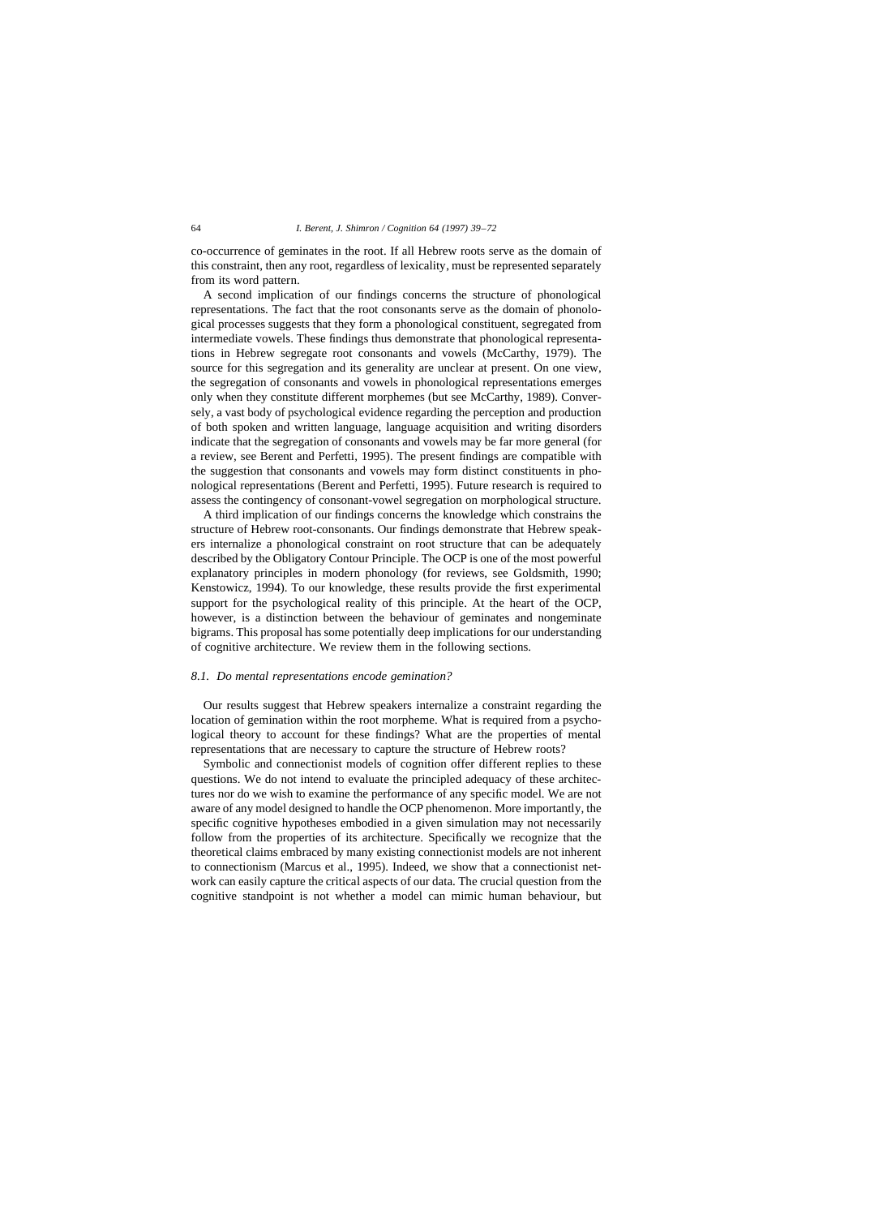co-occurrence of geminates in the root. If all Hebrew roots serve as the domain of this constraint, then any root, regardless of lexicality, must be represented separately from its word pattern.

A second implication of our findings concerns the structure of phonological representations. The fact that the root consonants serve as the domain of phonological processes suggests that they form a phonological constituent, segregated from intermediate vowels. These findings thus demonstrate that phonological representations in Hebrew segregate root consonants and vowels (McCarthy, 1979). The source for this segregation and its generality are unclear at present. On one view, the segregation of consonants and vowels in phonological representations emerges only when they constitute different morphemes (but see McCarthy, 1989). Conversely, a vast body of psychological evidence regarding the perception and production of both spoken and written language, language acquisition and writing disorders indicate that the segregation of consonants and vowels may be far more general (for a review, see Berent and Perfetti, 1995). The present findings are compatible with the suggestion that consonants and vowels may form distinct constituents in phonological representations (Berent and Perfetti, 1995). Future research is required to assess the contingency of consonant-vowel segregation on morphological structure.

A third implication of our findings concerns the knowledge which constrains the structure of Hebrew root-consonants. Our findings demonstrate that Hebrew speakers internalize a phonological constraint on root structure that can be adequately described by the Obligatory Contour Principle. The OCP is one of the most powerful explanatory principles in modern phonology (for reviews, see Goldsmith, 1990; Kenstowicz, 1994). To our knowledge, these results provide the first experimental support for the psychological reality of this principle. At the heart of the OCP, however, is a distinction between the behaviour of geminates and nongeminate bigrams. This proposal has some potentially deep implications for our understanding of cognitive architecture. We review them in the following sections.

### *8.1. Do mental representations encode gemination?*

Our results suggest that Hebrew speakers internalize a constraint regarding the location of gemination within the root morpheme. What is required from a psychological theory to account for these findings? What are the properties of mental representations that are necessary to capture the structure of Hebrew roots?

Symbolic and connectionist models of cognition offer different replies to these questions. We do not intend to evaluate the principled adequacy of these architectures nor do we wish to examine the performance of any specific model. We are not aware of any model designed to handle the OCP phenomenon. More importantly, the specific cognitive hypotheses embodied in a given simulation may not necessarily follow from the properties of its architecture. Specifically we recognize that the theoretical claims embraced by many existing connectionist models are not inherent to connectionism (Marcus et al., 1995). Indeed, we show that a connectionist network can easily capture the critical aspects of our data. The crucial question from the cognitive standpoint is not whether a model can mimic human behaviour, but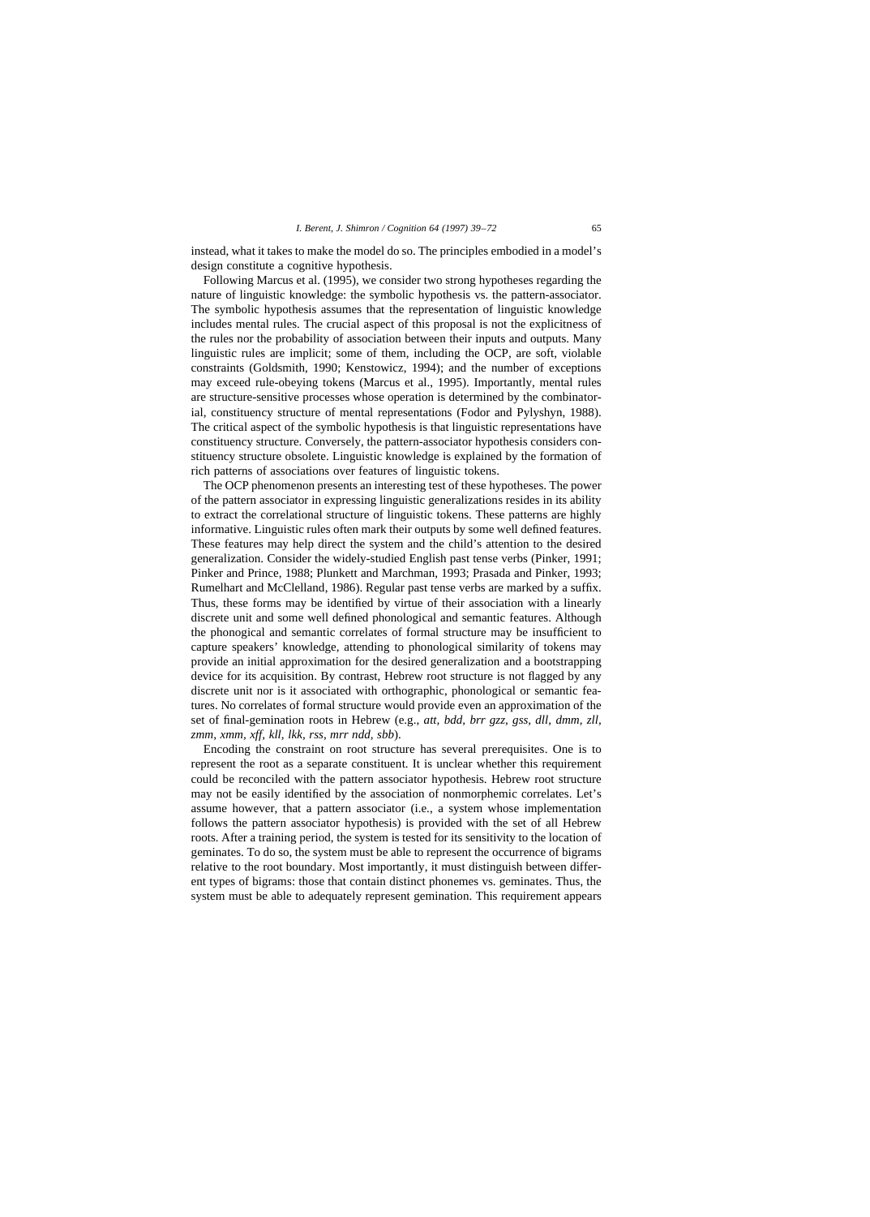instead, what it takes to make the model do so. The principles embodied in a model's design constitute a cognitive hypothesis.

Following Marcus et al. (1995), we consider two strong hypotheses regarding the nature of linguistic knowledge: the symbolic hypothesis vs. the pattern-associator. The symbolic hypothesis assumes that the representation of linguistic knowledge includes mental rules. The crucial aspect of this proposal is not the explicitness of the rules nor the probability of association between their inputs and outputs. Many linguistic rules are implicit; some of them, including the OCP, are soft, violable constraints (Goldsmith, 1990; Kenstowicz, 1994); and the number of exceptions may exceed rule-obeying tokens (Marcus et al., 1995). Importantly, mental rules are structure-sensitive processes whose operation is determined by the combinatorial, constituency structure of mental representations (Fodor and Pylyshyn, 1988). The critical aspect of the symbolic hypothesis is that linguistic representations have constituency structure. Conversely, the pattern-associator hypothesis considers constituency structure obsolete. Linguistic knowledge is explained by the formation of rich patterns of associations over features of linguistic tokens.

The OCP phenomenon presents an interesting test of these hypotheses. The power of the pattern associator in expressing linguistic generalizations resides in its ability to extract the correlational structure of linguistic tokens. These patterns are highly informative. Linguistic rules often mark their outputs by some well defined features. These features may help direct the system and the child's attention to the desired generalization. Consider the widely-studied English past tense verbs (Pinker, 1991; Pinker and Prince, 1988; Plunkett and Marchman, 1993; Prasada and Pinker, 1993; Rumelhart and McClelland, 1986). Regular past tense verbs are marked by a suffix. Thus, these forms may be identified by virtue of their association with a linearly discrete unit and some well defined phonological and semantic features. Although the phonogical and semantic correlates of formal structure may be insufficient to capture speakers' knowledge, attending to phonological similarity of tokens may provide an initial approximation for the desired generalization and a bootstrapping device for its acquisition. By contrast, Hebrew root structure is not flagged by any discrete unit nor is it associated with orthographic, phonological or semantic features. No correlates of formal structure would provide even an approximation of the set of final-gemination roots in Hebrew (e.g., *att, bdd, brr gzz, gss, dll, dmm, zll, zmm, xmm, xff, kll, lkk, rss, mrr ndd, sbb*).

Encoding the constraint on root structure has several prerequisites. One is to represent the root as a separate constituent. It is unclear whether this requirement could be reconciled with the pattern associator hypothesis. Hebrew root structure may not be easily identified by the association of nonmorphemic correlates. Let's assume however, that a pattern associator (i.e., a system whose implementation follows the pattern associator hypothesis) is provided with the set of all Hebrew roots. After a training period, the system is tested for its sensitivity to the location of geminates. To do so, the system must be able to represent the occurrence of bigrams relative to the root boundary. Most importantly, it must distinguish between different types of bigrams: those that contain distinct phonemes vs. geminates. Thus, the system must be able to adequately represent gemination. This requirement appears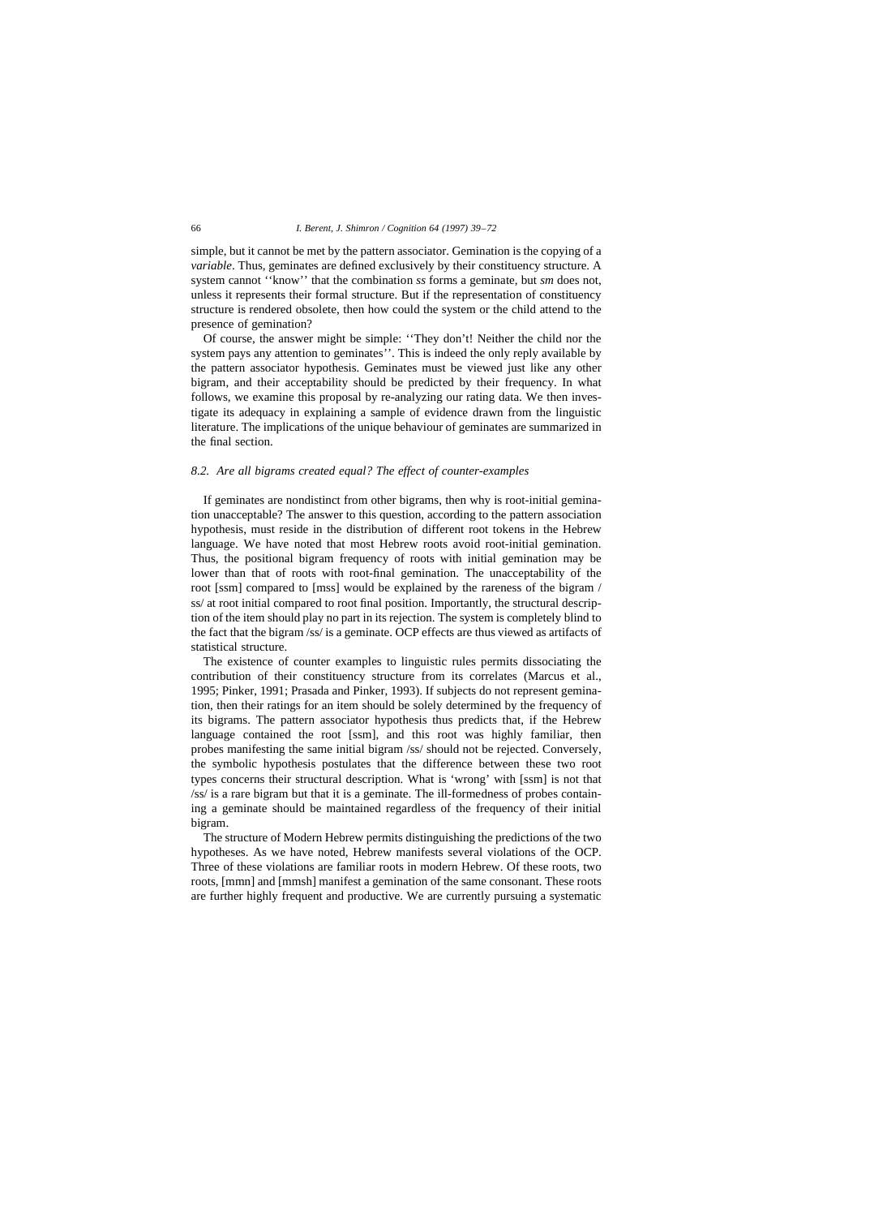simple, but it cannot be met by the pattern associator. Gemination is the copying of a *variable*. Thus, geminates are defined exclusively by their constituency structure. A system cannot ''know'' that the combination *ss* forms a geminate, but *sm* does not, unless it represents their formal structure. But if the representation of constituency structure is rendered obsolete, then how could the system or the child attend to the presence of gemination?

Of course, the answer might be simple: ''They don't! Neither the child nor the system pays any attention to geminates''. This is indeed the only reply available by the pattern associator hypothesis. Geminates must be viewed just like any other bigram, and their acceptability should be predicted by their frequency. In what follows, we examine this proposal by re-analyzing our rating data. We then investigate its adequacy in explaining a sample of evidence drawn from the linguistic literature. The implications of the unique behaviour of geminates are summarized in the final section.

# *8.2. Are all bigrams created equal? The effect of counter-examples*

If geminates are nondistinct from other bigrams, then why is root-initial gemination unacceptable? The answer to this question, according to the pattern association hypothesis, must reside in the distribution of different root tokens in the Hebrew language. We have noted that most Hebrew roots avoid root-initial gemination. Thus, the positional bigram frequency of roots with initial gemination may be lower than that of roots with root-final gemination. The unacceptability of the root [ssm] compared to [mss] would be explained by the rareness of the bigram / ss/ at root initial compared to root final position. Importantly, the structural description of the item should play no part in its rejection. The system is completely blind to the fact that the bigram /ss/ is a geminate. OCP effects are thus viewed as artifacts of statistical structure.

The existence of counter examples to linguistic rules permits dissociating the contribution of their constituency structure from its correlates (Marcus et al., 1995; Pinker, 1991; Prasada and Pinker, 1993). If subjects do not represent gemination, then their ratings for an item should be solely determined by the frequency of its bigrams. The pattern associator hypothesis thus predicts that, if the Hebrew language contained the root [ssm], and this root was highly familiar, then probes manifesting the same initial bigram /ss/ should not be rejected. Conversely, the symbolic hypothesis postulates that the difference between these two root types concerns their structural description. What is 'wrong' with [ssm] is not that /ss/ is a rare bigram but that it is a geminate. The ill-formedness of probes containing a geminate should be maintained regardless of the frequency of their initial bigram.

The structure of Modern Hebrew permits distinguishing the predictions of the two hypotheses. As we have noted, Hebrew manifests several violations of the OCP. Three of these violations are familiar roots in modern Hebrew. Of these roots, two roots, [mmn] and [mmsh] manifest a gemination of the same consonant. These roots are further highly frequent and productive. We are currently pursuing a systematic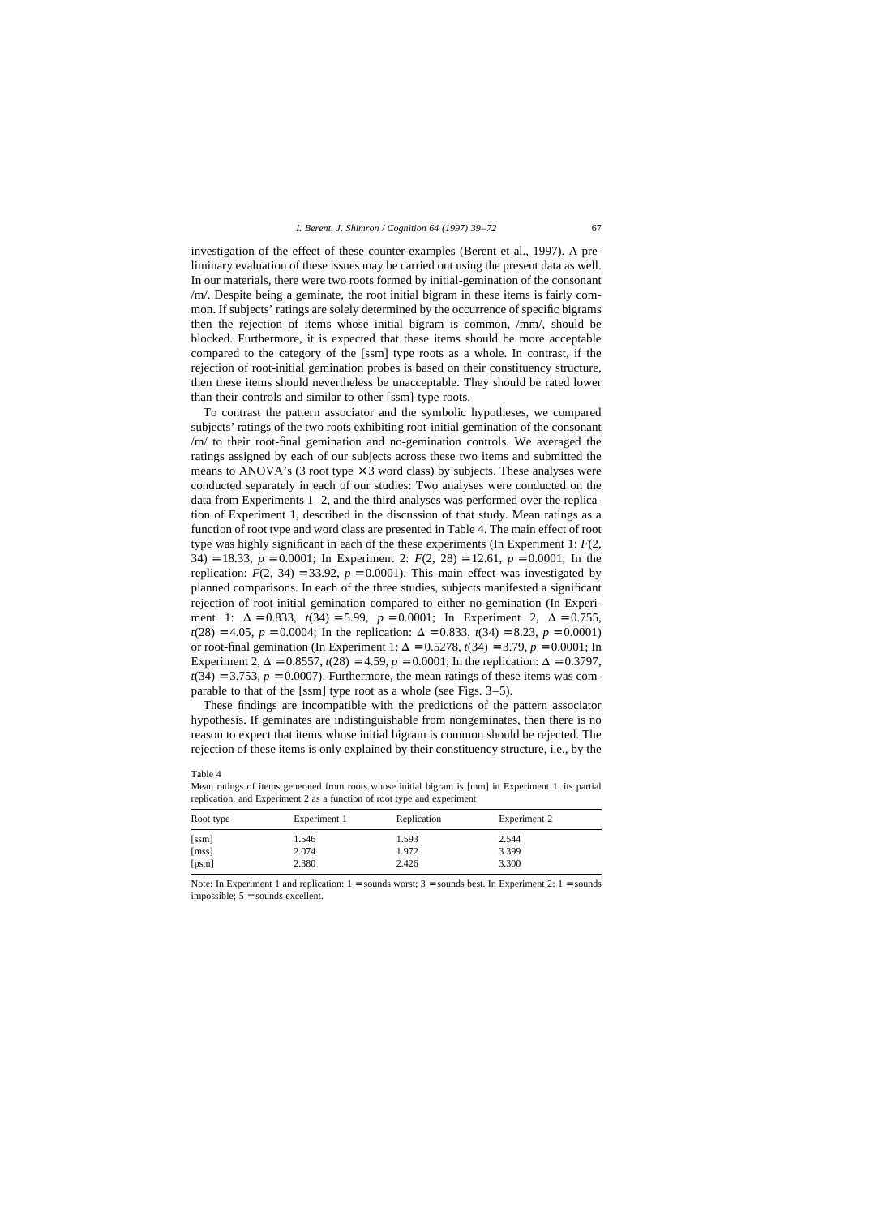investigation of the effect of these counter-examples (Berent et al., 1997). A preliminary evaluation of these issues may be carried out using the present data as well. In our materials, there were two roots formed by initial-gemination of the consonant /m/. Despite being a geminate, the root initial bigram in these items is fairly common. If subjects' ratings are solely determined by the occurrence of specific bigrams then the rejection of items whose initial bigram is common, /mm/, should be blocked. Furthermore, it is expected that these items should be more acceptable compared to the category of the [ssm] type roots as a whole. In contrast, if the rejection of root-initial gemination probes is based on their constituency structure, then these items should nevertheless be unacceptable. They should be rated lower than their controls and similar to other [ssm]-type roots.

To contrast the pattern associator and the symbolic hypotheses, we compared subjects' ratings of the two roots exhibiting root-initial gemination of the consonant /m/ to their root-final gemination and no-gemination controls. We averaged the ratings assigned by each of our subjects across these two items and submitted the means to ANOVA's (3 root type  $\times$  3 word class) by subjects. These analyses were conducted separately in each of our studies: Two analyses were conducted on the data from Experiments  $1-2$ , and the third analyses was performed over the replication of Experiment 1, described in the discussion of that study. Mean ratings as a function of root type and word class are presented in Table 4. The main effect of root type was highly significant in each of the these experiments (In Experiment 1: *F*(2, 34) = 18.33, *p* = 0.0001; In Experiment 2: *F*(2, 28) = 12.61, *p* = 0.0001; In the replication:  $F(2, 34) = 33.92$ ,  $p = 0.0001$ ). This main effect was investigated by planned comparisons. In each of the three studies, subjects manifested a significant rejection of root-initial gemination compared to either no-gemination (In Experiment 1:  $\Delta = 0.833$ ,  $t(34) = 5.99$ ,  $p = 0.0001$ ; In Experiment 2,  $\Delta = 0.755$ ,  $t(28) = 4.05$ ,  $p = 0.0004$ ; In the replication:  $\Delta = 0.833$ ,  $t(34) = 8.23$ ,  $p = 0.0001$ ) or root-final gemination (In Experiment 1:  $\Delta = 0.5278$ ,  $t(34) = 3.79$ ,  $p = 0.0001$ ; In Experiment 2,  $\Delta = 0.8557$ ,  $t(28) = 4.59$ ,  $p = 0.0001$ ; In the replication:  $\Delta = 0.3797$ ,  $t(34) = 3.753$ ,  $p = 0.0007$ ). Furthermore, the mean ratings of these items was comparable to that of the [ssm] type root as a whole (see Figs. 3–5).

These findings are incompatible with the predictions of the pattern associator hypothesis. If geminates are indistinguishable from nongeminates, then there is no reason to expect that items whose initial bigram is common should be rejected. The rejection of these items is only explained by their constituency structure, i.e., by the

| Root type | Experiment 1 | Replication | Experiment 2 |  |
|-----------|--------------|-------------|--------------|--|
| [ssm]     | 1.546        | 1.593       | 2.544        |  |
| [mss]     | 2.074        | 1.972       | 3.399        |  |
| [psm]     | 2.380        | 2.426       | 3.300        |  |

Table 4

Mean ratings of items generated from roots whose initial bigram is [mm] in Experiment 1, its partial replication, and Experiment 2 as a function of root type and experiment

Note: In Experiment 1 and replication:  $1 =$  sounds worst;  $3 =$  sounds best. In Experiment 2:  $1 =$  sounds  $impossible$ ;  $5 = sounds$  excellent.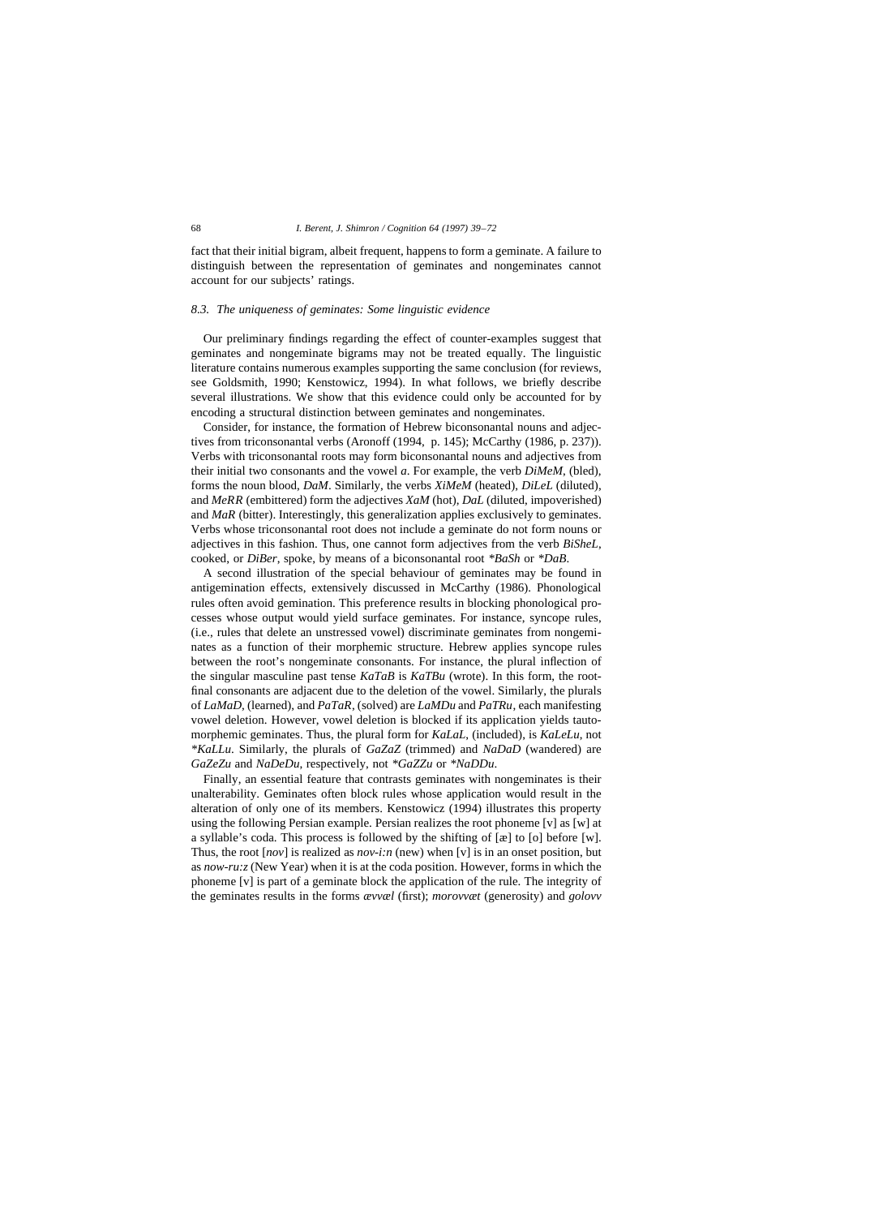fact that their initial bigram, albeit frequent, happens to form a geminate. A failure to distinguish between the representation of geminates and nongeminates cannot account for our subjects' ratings.

## *8.3. The uniqueness of geminates: Some linguistic evidence*

Our preliminary findings regarding the effect of counter-examples suggest that geminates and nongeminate bigrams may not be treated equally. The linguistic literature contains numerous examples supporting the same conclusion (for reviews, see Goldsmith, 1990; Kenstowicz, 1994). In what follows, we briefly describe several illustrations. We show that this evidence could only be accounted for by encoding a structural distinction between geminates and nongeminates.

Consider, for instance, the formation of Hebrew biconsonantal nouns and adjectives from triconsonantal verbs (Aronoff (1994, p. 145); McCarthy (1986, p. 237)). Verbs with triconsonantal roots may form biconsonantal nouns and adjectives from their initial two consonants and the vowel *a*. For example, the verb *DiMeM*, (bled), forms the noun blood, *DaM*. Similarly, the verbs *XiMeM* (heated), *DiLeL* (diluted), and *MeRR* (embittered) form the adjectives *XaM* (hot), *DaL* (diluted, impoverished) and *MaR* (bitter). Interestingly, this generalization applies exclusively to geminates. Verbs whose triconsonantal root does not include a geminate do not form nouns or adjectives in this fashion. Thus, one cannot form adjectives from the verb *BiSheL*, cooked, or *DiBer*, spoke, by means of a biconsonantal root *\*BaSh* or *\*DaB*.

A second illustration of the special behaviour of geminates may be found in antigemination effects, extensively discussed in McCarthy (1986). Phonological rules often avoid gemination. This preference results in blocking phonological processes whose output would yield surface geminates. For instance, syncope rules, (i.e., rules that delete an unstressed vowel) discriminate geminates from nongeminates as a function of their morphemic structure. Hebrew applies syncope rules between the root's nongeminate consonants. For instance, the plural inflection of the singular masculine past tense *KaTaB* is *KaTBu* (wrote). In this form, the rootfinal consonants are adjacent due to the deletion of the vowel. Similarly, the plurals of *LaMaD*, (learned), and *PaTaR*, (solved) are *LaMDu* and *PaTRu*, each manifesting vowel deletion. However, vowel deletion is blocked if its application yields tautomorphemic geminates. Thus, the plural form for *KaLaL*, (included), is *KaLeLu*, not *\*KaLLu*. Similarly, the plurals of *GaZaZ* (trimmed) and *NaDaD* (wandered) are *GaZeZu* and *NaDeDu*, respectively, not *\*GaZZu* or *\*NaDDu*.

Finally, an essential feature that contrasts geminates with nongeminates is their unalterability. Geminates often block rules whose application would result in the alteration of only one of its members. Kenstowicz (1994) illustrates this property using the following Persian example. Persian realizes the root phoneme [v] as [w] at a syllable's coda. This process is followed by the shifting of [æ] to [o] before [w]. Thus, the root [*nov*] is realized as *nov-i:n* (new) when [v] is in an onset position, but as *now-ru:z* (New Year) when it is at the coda position. However, forms in which the phoneme [v] is part of a geminate block the application of the rule. The integrity of the geminates results in the forms *ævvæl* (first); *morovvæt* (generosity) and *golovv*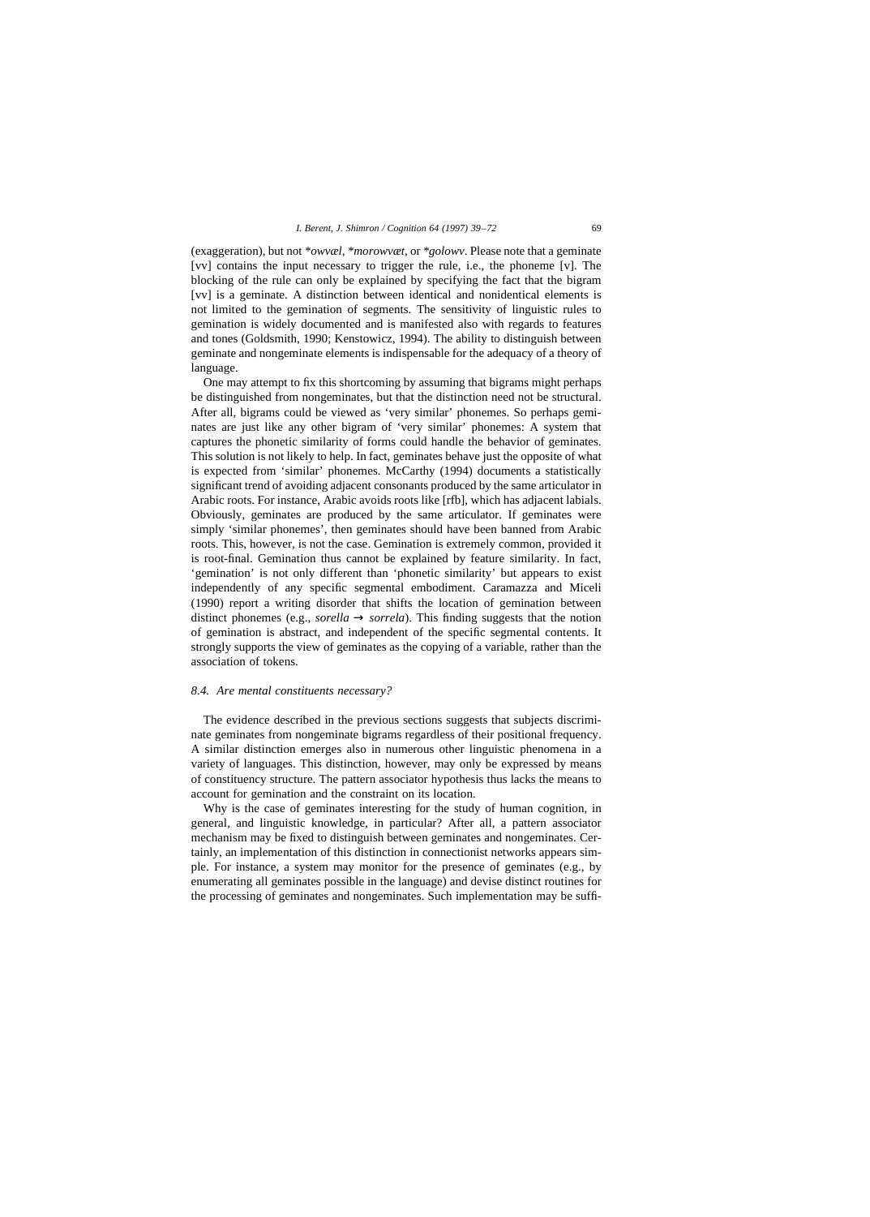(exaggeration), but not *\*owvæl*, *\*morowvæt*, or *\*golowv*. Please note that a geminate [vv] contains the input necessary to trigger the rule, i.e., the phoneme [v]. The blocking of the rule can only be explained by specifying the fact that the bigram [vv] is a geminate. A distinction between identical and nonidentical elements is not limited to the gemination of segments. The sensitivity of linguistic rules to gemination is widely documented and is manifested also with regards to features and tones (Goldsmith, 1990; Kenstowicz, 1994). The ability to distinguish between geminate and nongeminate elements is indispensable for the adequacy of a theory of language.

One may attempt to fix this shortcoming by assuming that bigrams might perhaps be distinguished from nongeminates, but that the distinction need not be structural. After all, bigrams could be viewed as 'very similar' phonemes. So perhaps geminates are just like any other bigram of 'very similar' phonemes: A system that captures the phonetic similarity of forms could handle the behavior of geminates. This solution is not likely to help. In fact, geminates behave just the opposite of what is expected from 'similar' phonemes. McCarthy (1994) documents a statistically significant trend of avoiding adjacent consonants produced by the same articulator in Arabic roots. For instance, Arabic avoids roots like [rfb], which has adjacent labials. Obviously, geminates are produced by the same articulator. If geminates were simply 'similar phonemes', then geminates should have been banned from Arabic roots. This, however, is not the case. Gemination is extremely common, provided it is root-final. Gemination thus cannot be explained by feature similarity. In fact, 'gemination' is not only different than 'phonetic similarity' but appears to exist independently of any specific segmental embodiment. Caramazza and Miceli (1990) report a writing disorder that shifts the location of gemination between distinct phonemes (e.g., *sorella*  $\rightarrow$  *sorrela*). This finding suggests that the notion of gemination is abstract, and independent of the specific segmental contents. It strongly supports the view of geminates as the copying of a variable, rather than the association of tokens.

# *8.4. Are mental constituents necessary?*

The evidence described in the previous sections suggests that subjects discriminate geminates from nongeminate bigrams regardless of their positional frequency. A similar distinction emerges also in numerous other linguistic phenomena in a variety of languages. This distinction, however, may only be expressed by means of constituency structure. The pattern associator hypothesis thus lacks the means to account for gemination and the constraint on its location.

Why is the case of geminates interesting for the study of human cognition, in general, and linguistic knowledge, in particular? After all, a pattern associator mechanism may be fixed to distinguish between geminates and nongeminates. Certainly, an implementation of this distinction in connectionist networks appears simple. For instance, a system may monitor for the presence of geminates (e.g., by enumerating all geminates possible in the language) and devise distinct routines for the processing of geminates and nongeminates. Such implementation may be suffi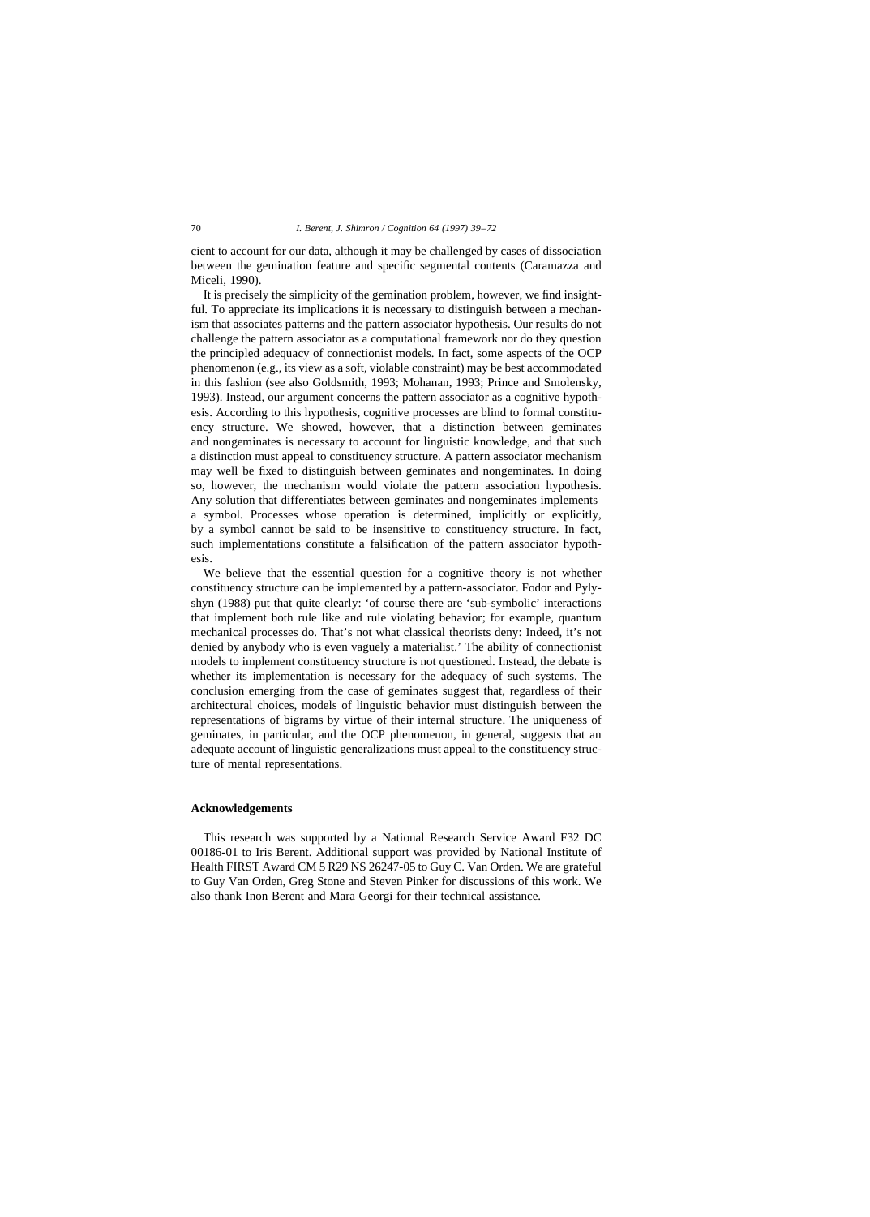cient to account for our data, although it may be challenged by cases of dissociation between the gemination feature and specific segmental contents (Caramazza and Miceli, 1990).

It is precisely the simplicity of the gemination problem, however, we find insightful. To appreciate its implications it is necessary to distinguish between a mechanism that associates patterns and the pattern associator hypothesis. Our results do not challenge the pattern associator as a computational framework nor do they question the principled adequacy of connectionist models. In fact, some aspects of the OCP phenomenon (e.g., its view as a soft, violable constraint) may be best accommodated in this fashion (see also Goldsmith, 1993; Mohanan, 1993; Prince and Smolensky, 1993). Instead, our argument concerns the pattern associator as a cognitive hypothesis. According to this hypothesis, cognitive processes are blind to formal constituency structure. We showed, however, that a distinction between geminates and nongeminates is necessary to account for linguistic knowledge, and that such a distinction must appeal to constituency structure. A pattern associator mechanism may well be fixed to distinguish between geminates and nongeminates. In doing so, however, the mechanism would violate the pattern association hypothesis. Any solution that differentiates between geminates and nongeminates implements a symbol. Processes whose operation is determined, implicitly or explicitly, by a symbol cannot be said to be insensitive to constituency structure. In fact, such implementations constitute a falsification of the pattern associator hypothesis.

We believe that the essential question for a cognitive theory is not whether constituency structure can be implemented by a pattern-associator. Fodor and Pylyshyn (1988) put that quite clearly: 'of course there are 'sub-symbolic' interactions that implement both rule like and rule violating behavior; for example, quantum mechanical processes do. That's not what classical theorists deny: Indeed, it's not denied by anybody who is even vaguely a materialist.' The ability of connectionist models to implement constituency structure is not questioned. Instead, the debate is whether its implementation is necessary for the adequacy of such systems. The conclusion emerging from the case of geminates suggest that, regardless of their architectural choices, models of linguistic behavior must distinguish between the representations of bigrams by virtue of their internal structure. The uniqueness of geminates, in particular, and the OCP phenomenon, in general, suggests that an adequate account of linguistic generalizations must appeal to the constituency structure of mental representations.

### **Acknowledgements**

This research was supported by a National Research Service Award F32 DC 00186-01 to Iris Berent. Additional support was provided by National Institute of Health FIRST Award CM 5 R29 NS 26247-05 to Guy C. Van Orden. We are grateful to Guy Van Orden, Greg Stone and Steven Pinker for discussions of this work. We also thank Inon Berent and Mara Georgi for their technical assistance.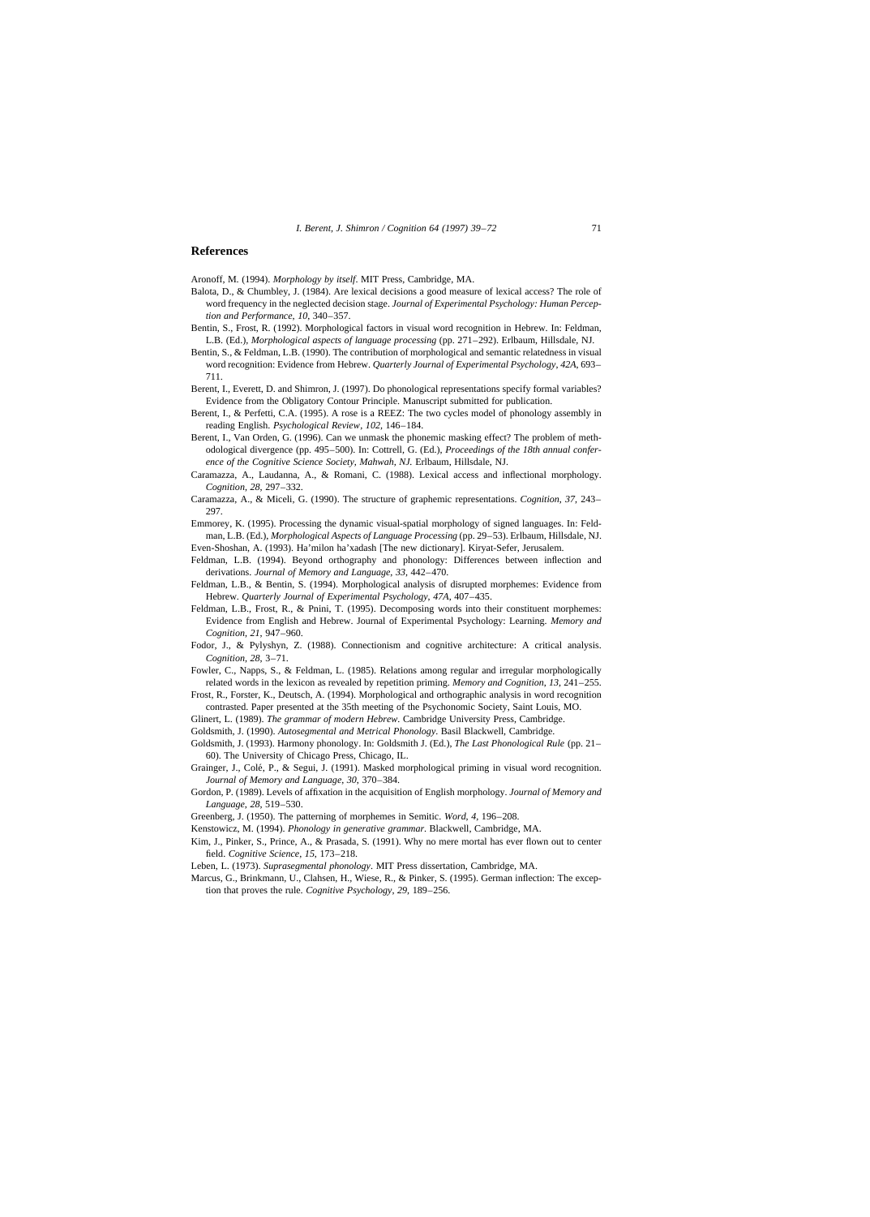### **References**

Aronoff, M. (1994). *Morphology by itself*. MIT Press, Cambridge, MA.

- Balota, D., & Chumbley, J. (1984). Are lexical decisions a good measure of lexical access? The role of word frequency in the neglected decision stage. *Journal of Experimental Psychology: Human Perception and Performance*, *10*, 340–357.
- Bentin, S., Frost, R. (1992). Morphological factors in visual word recognition in Hebrew. In: Feldman, L.B. (Ed.), *Morphological aspects of language processing* (pp. 271–292). Erlbaum, Hillsdale, NJ.
- Bentin, S., & Feldman, L.B. (1990). The contribution of morphological and semantic relatedness in visual word recognition: Evidence from Hebrew. *Quarterly Journal of Experimental Psychology*, *42A*, 693– 711.
- Berent, I., Everett, D. and Shimron, J. (1997). Do phonological representations specify formal variables? Evidence from the Obligatory Contour Principle. Manuscript submitted for publication.
- Berent, I., & Perfetti, C.A. (1995). A rose is a REEZ: The two cycles model of phonology assembly in reading English. *Psychological Review*, *102*, 146–184.
- Berent, I., Van Orden, G. (1996). Can we unmask the phonemic masking effect? The problem of methodological divergence (pp. 495–500). In: Cottrell, G. (Ed.), *Proceedings of the 18th annual conference of the Cognitive Science Society, Mahwah, NJ.* Erlbaum, Hillsdale, NJ.
- Caramazza, A., Laudanna, A., & Romani, C. (1988). Lexical access and inflectional morphology. *Cognition*, *28*, 297–332.
- Caramazza, A., & Miceli, G. (1990). The structure of graphemic representations. *Cognition*, *37*, 243– 297.
- Emmorey, K. (1995). Processing the dynamic visual-spatial morphology of signed languages. In: Feldman, L.B. (Ed.), *Morphological Aspects of Language Processing* (pp. 29–53). Erlbaum, Hillsdale, NJ.
- Even-Shoshan, A. (1993). Ha'milon ha'xadash [The new dictionary]. Kiryat-Sefer, Jerusalem.
- Feldman, L.B. (1994). Beyond orthography and phonology: Differences between inflection and derivations. *Journal of Memory and Language*, *33*, 442–470.
- Feldman, L.B., & Bentin, S. (1994). Morphological analysis of disrupted morphemes: Evidence from Hebrew. *Quarterly Journal of Experimental Psychology*, *47A*, 407–435.
- Feldman, L.B., Frost, R., & Pnini, T. (1995). Decomposing words into their constituent morphemes: Evidence from English and Hebrew. Journal of Experimental Psychology: Learning. *Memory and Cognition*, *21*, 947–960.
- Fodor, J., & Pylyshyn, Z. (1988). Connectionism and cognitive architecture: A critical analysis. *Cognition*, *28*, 3–71.
- Fowler, C., Napps, S., & Feldman, L. (1985). Relations among regular and irregular morphologically related words in the lexicon as revealed by repetition priming. *Memory and Cognition*, *13*, 241–255.
- Frost, R., Forster, K., Deutsch, A. (1994). Morphological and orthographic analysis in word recognition contrasted. Paper presented at the 35th meeting of the Psychonomic Society, Saint Louis, MO.
- Glinert, L. (1989). *The grammar of modern Hebrew*. Cambridge University Press, Cambridge.
- Goldsmith, J. (1990). *Autosegmental and Metrical Phonology*. Basil Blackwell, Cambridge.
- Goldsmith, J. (1993). Harmony phonology. In: Goldsmith J. (Ed.), *The Last Phonological Rule* (pp. 21– 60). The University of Chicago Press, Chicago, IL.
- Grainger, J., Colé, P., & Segui, J. (1991). Masked morphological priming in visual word recognition. *Journal of Memory and Language*, *30*, 370–384.
- Gordon, P. (1989). Levels of affixation in the acquisition of English morphology. *Journal of Memory and Language*, *28*, 519–530.
- Greenberg, J. (1950). The patterning of morphemes in Semitic. *Word*, *4*, 196–208.
- Kenstowicz, M. (1994). *Phonology in generative grammar*. Blackwell, Cambridge, MA.
- Kim, J., Pinker, S., Prince, A., & Prasada, S. (1991). Why no mere mortal has ever flown out to center field. *Cognitive Science*, *15*, 173–218.
- Leben, L. (1973). *Suprasegmental phonology*. MIT Press dissertation, Cambridge, MA.
- Marcus, G., Brinkmann, U., Clahsen, H., Wiese, R., & Pinker, S. (1995). German inflection: The exception that proves the rule. *Cognitive Psychology*, *29*, 189–256.